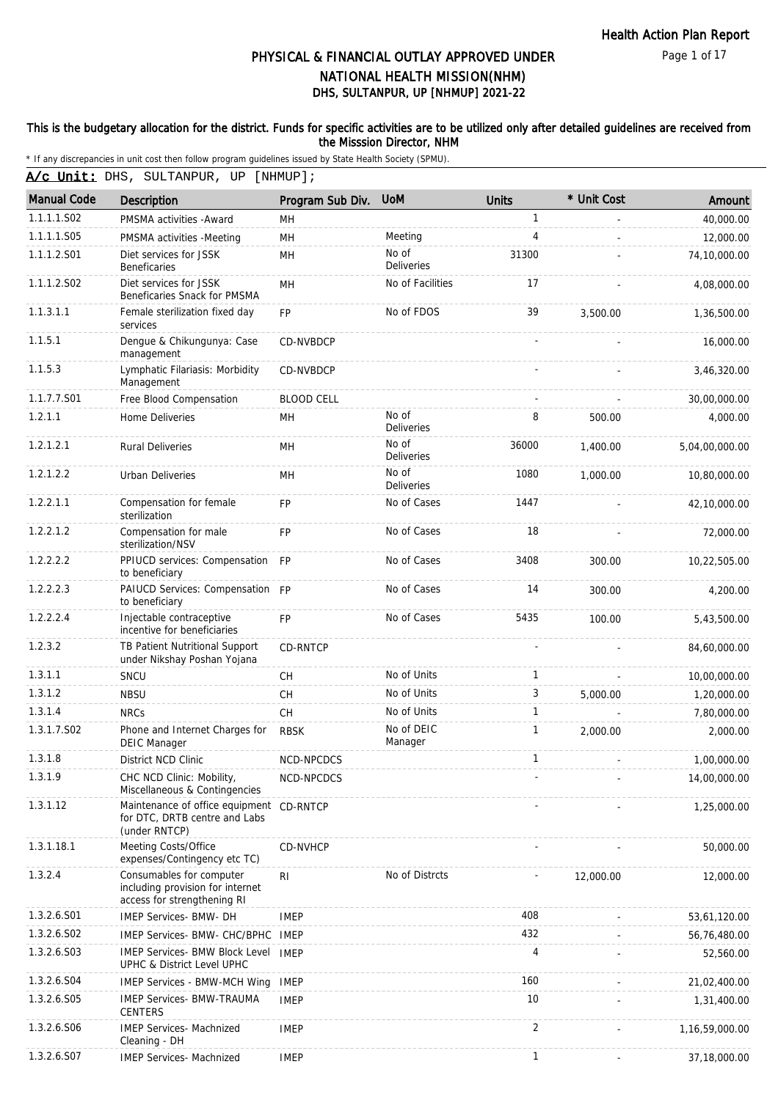Page 1 of 17

# DHS, SULTANPUR, UP [NHMUP] 2021-22 PHYSICAL & FINANCIAL OUTLAY APPROVED UNDER NATIONAL HEALTH MISSION(NHM)

#### This is the budgetary allocation for the district. Funds for specific activities are to be utilized only after detailed guidelines are received from the Misssion Director, NHM

\* If any discrepancies in unit cost then follow program guidelines issued by State Health Society (SPMU).

A/c Unit: DHS, SULTANPUR, UP [NHMUP];

| <b>Manual Code</b> | Description                                                                                 | Program Sub Div.  | <b>UoM</b>                 | <b>Units</b>   | * Unit Cost | Amount         |
|--------------------|---------------------------------------------------------------------------------------------|-------------------|----------------------------|----------------|-------------|----------------|
| 1.1.1.1.S02        | PMSMA activities - Award                                                                    | MН                |                            | $\mathbf{1}$   |             | 40,000.00      |
| 1.1.1.1.S05        | PMSMA activities -Meeting                                                                   | <b>MH</b>         | Meeting                    | $\overline{4}$ |             | 12,000.00      |
| 1.1.1.2.S01        | Diet services for JSSK<br><b>Beneficaries</b>                                               | MH                | No of<br><b>Deliveries</b> | 31300          |             | 74,10,000.00   |
| 1.1.1.2.S02        | Diet services for JSSK<br>Beneficaries Snack for PMSMA                                      | <b>MH</b>         | No of Facilities           | 17             |             | 4,08,000.00    |
| 1.1.3.1.1          | Female sterilization fixed day<br>services                                                  | FP                | No of FDOS                 | 39             | 3,500.00    | 1,36,500.00    |
| 1.1.5.1            | Dengue & Chikungunya: Case<br>management                                                    | CD-NVBDCP         |                            |                |             | 16,000.00      |
| 1.1.5.3            | Lymphatic Filariasis: Morbidity<br>Management                                               | CD-NVBDCP         |                            |                |             | 3,46,320.00    |
| 1.1.7.7.S01        | Free Blood Compensation                                                                     | <b>BLOOD CELL</b> |                            |                |             | 30,00,000.00   |
| 1.2.1.1            | Home Deliveries                                                                             | MН                | No of<br><b>Deliveries</b> | 8              | 500.00      | 4,000.00       |
| 1.2.1.2.1          | <b>Rural Deliveries</b>                                                                     | MН                | No of<br><b>Deliveries</b> | 36000          | 1,400.00    | 5,04,00,000.00 |
| 1.2.1.2.2          | <b>Urban Deliveries</b>                                                                     | <b>MH</b>         | No of<br><b>Deliveries</b> | 1080           | 1,000.00    | 10,80,000.00   |
| 1.2.2.1.1          | Compensation for female<br>sterilization                                                    | <b>FP</b>         | No of Cases                | 1447           |             | 42,10,000.00   |
| 1.2.2.1.2          | Compensation for male<br>sterilization/NSV                                                  | FP                | No of Cases                | 18             |             | 72,000.00      |
| 1.2.2.2.2          | PPIUCD services: Compensation FP<br>to beneficiary                                          |                   | No of Cases                | 3408           | 300.00      | 10,22,505.00   |
| 1.2.2.2.3          | PAIUCD Services: Compensation FP<br>to beneficiary                                          |                   | No of Cases                | 14             | 300.00      | 4,200.00       |
| 1.2.2.2.4          | Injectable contraceptive<br>incentive for beneficiaries                                     | <b>FP</b>         | No of Cases                | 5435           | 100.00      | 5,43,500.00    |
| 1.2.3.2            | TB Patient Nutritional Support<br>under Nikshay Poshan Yojana                               | <b>CD-RNTCP</b>   |                            |                |             | 84,60,000.00   |
| 1.3.1.1            | SNCU                                                                                        | <b>CH</b>         | No of Units                | $\mathbf{1}$   |             | 10,00,000.00   |
| 1.3.1.2            | <b>NBSU</b>                                                                                 | CH                | No of Units                | 3              | 5,000.00    | 1,20,000.00    |
| 1.3.1.4            | <b>NRCs</b>                                                                                 | <b>CH</b>         | No of Units                | $\mathbf{1}$   |             | 7,80,000.00    |
| 1.3.1.7.S02        | Phone and Internet Charges for<br><b>DEIC Manager</b>                                       | <b>RBSK</b>       | No of DEIC<br>Manager      | $\mathbf{1}$   | 2,000.00    | 2,000.00       |
| 1.3.1.8            | District NCD Clinic                                                                         | NCD-NPCDCS        |                            | $\mathbf{1}$   |             | 1,00,000.00    |
| 1.3.1.9            | CHC NCD Clinic: Mobility,<br>Miscellaneous & Contingencies                                  | NCD-NPCDCS        |                            |                |             | 14,00,000.00   |
| 1.3.1.12           | Maintenance of office equipment<br>for DTC, DRTB centre and Labs<br>(under RNTCP)           | CD-RNTCP          |                            |                |             | 1,25,000.00    |
| 1.3.1.18.1         | Meeting Costs/Office<br>expenses/Contingency etc TC)                                        | CD-NVHCP          |                            |                |             | 50,000.00      |
| 1.3.2.4            | Consumables for computer<br>including provision for internet<br>access for strengthening RI | R <sub>l</sub>    | No of Distrcts             |                | 12,000.00   | 12,000.00      |
| 1.3.2.6.S01        | IMEP Services- BMW- DH                                                                      | <b>IMEP</b>       |                            | 408            |             | 53,61,120.00   |
| 1.3.2.6.S02        | IMEP Services- BMW- CHC/BPHC                                                                | IMEP              |                            | 432            |             | 56,76,480.00   |
| 1.3.2.6.S03        | <b>IMEP Services- BMW Block Level</b><br>UPHC & District Level UPHC                         | <b>IMEP</b>       |                            | 4              |             | 52,560.00      |
| 1.3.2.6.S04        | <b>IMEP Services - BMW-MCH Wing</b>                                                         | <b>IMEP</b>       |                            | 160            |             | 21,02,400.00   |
| 1.3.2.6.S05        | <b>IMEP Services- BMW-TRAUMA</b><br><b>CENTERS</b>                                          | <b>IMEP</b>       |                            | 10             |             | 1,31,400.00    |
| 1.3.2.6.S06        | <b>IMEP Services- Machnized</b><br>Cleaning - DH                                            | <b>IMEP</b>       |                            | $\overline{2}$ |             | 1,16,59,000.00 |
| 1.3.2.6.S07        | <b>IMEP Services- Machnized</b>                                                             | <b>IMEP</b>       |                            | $\mathbf{1}$   |             | 37,18,000.00   |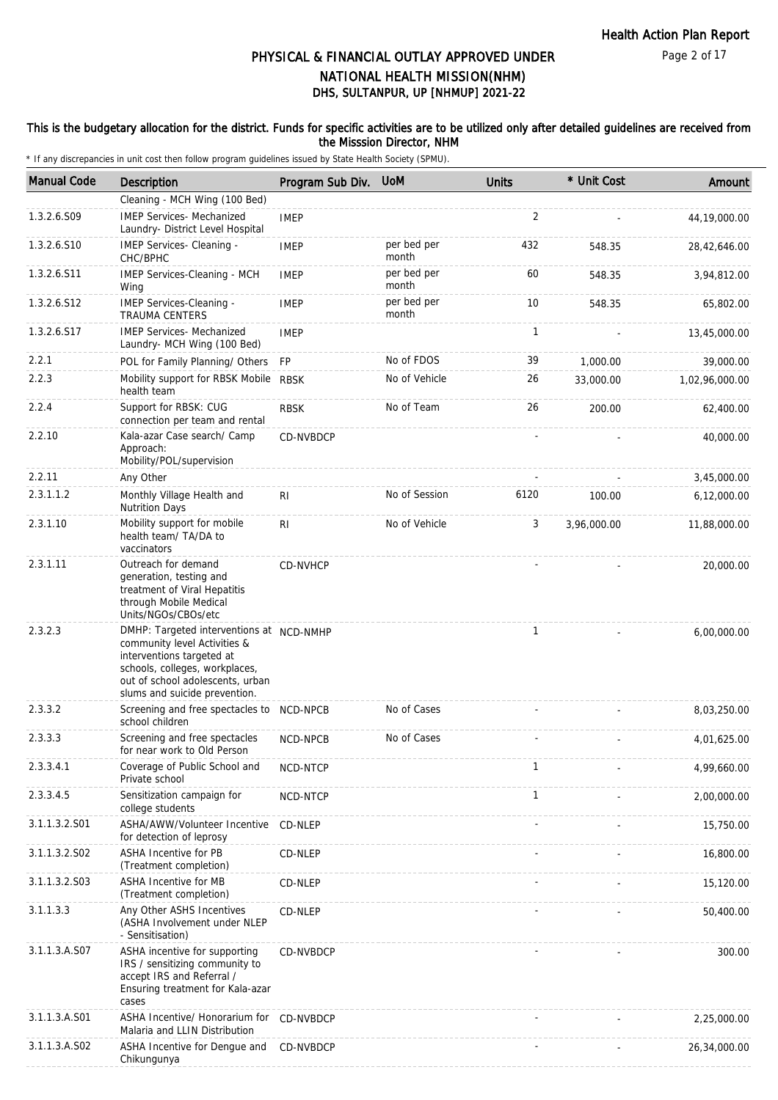#### This is the budgetary allocation for the district. Funds for specific activities are to be utilized only after detailed guidelines are received from the Misssion Director, NHM

| <b>Manual Code</b> | <b>Description</b>                                                                                                                                                                                           | Program Sub Div. | <b>UoM</b>           | <b>Units</b> | * Unit Cost | Amount         |
|--------------------|--------------------------------------------------------------------------------------------------------------------------------------------------------------------------------------------------------------|------------------|----------------------|--------------|-------------|----------------|
|                    | Cleaning - MCH Wing (100 Bed)                                                                                                                                                                                |                  |                      |              |             |                |
| 1.3.2.6.S09        | <b>IMEP Services- Mechanized</b><br>Laundry- District Level Hospital                                                                                                                                         | <b>IMEP</b>      |                      | 2            |             | 44,19,000.00   |
| 1.3.2.6.S10        | IMEP Services- Cleaning -<br>CHC/BPHC                                                                                                                                                                        | <b>IMEP</b>      | per bed per<br>month | 432          | 548.35      | 28,42,646.00   |
| 1.3.2.6.S11        | IMEP Services-Cleaning - MCH<br>Wing                                                                                                                                                                         | <b>IMEP</b>      | per bed per<br>month | 60           | 548.35      | 3,94,812.00    |
| 1.3.2.6.S12        | IMEP Services-Cleaning -<br><b>TRAUMA CENTERS</b>                                                                                                                                                            | <b>IMEP</b>      | per bed per<br>month | 10           | 548.35      | 65,802.00      |
| 1.3.2.6.S17        | <b>IMEP Services- Mechanized</b><br>Laundry- MCH Wing (100 Bed)                                                                                                                                              | <b>IMEP</b>      |                      | $\mathbf{1}$ |             | 13,45,000.00   |
| 2.2.1              | POL for Family Planning/ Others                                                                                                                                                                              | <b>FP</b>        | No of FDOS           | 39           | 1,000.00    | 39,000.00      |
| 2.2.3              | Mobility support for RBSK Mobile<br>health team                                                                                                                                                              | <b>RBSK</b>      | No of Vehicle        | 26           | 33,000.00   | 1,02,96,000.00 |
| 2.2.4              | Support for RBSK: CUG<br>connection per team and rental                                                                                                                                                      | <b>RBSK</b>      | No of Team           | 26           | 200.00      | 62,400.00      |
| 2.2.10             | Kala-azar Case search/ Camp<br>Approach:<br>Mobility/POL/supervision                                                                                                                                         | CD-NVBDCP        |                      |              |             | 40,000.00      |
| 2.2.11             | Any Other                                                                                                                                                                                                    |                  |                      |              |             | 3,45,000.00    |
| 2.3.1.1.2          | Monthly Village Health and<br><b>Nutrition Days</b>                                                                                                                                                          | R <sub>l</sub>   | No of Session        | 6120         | 100.00      | 6,12,000.00    |
| 2.3.1.10           | Mobility support for mobile<br>health team/ TA/DA to<br>vaccinators                                                                                                                                          | RI               | No of Vehicle        | 3            | 3,96,000.00 | 11,88,000.00   |
| 2.3.1.11           | Outreach for demand<br>generation, testing and<br>treatment of Viral Hepatitis<br>through Mobile Medical<br>Units/NGOs/CBOs/etc                                                                              | CD-NVHCP         |                      |              |             | 20,000.00      |
| 2.3.2.3            | DMHP: Targeted interventions at NCD-NMHP<br>community level Activities &<br>interventions targeted at<br>schools, colleges, workplaces,<br>out of school adolescents, urban<br>slums and suicide prevention. |                  |                      | $\mathbf{1}$ |             | 6,00,000.00    |
| 2.3.3.2            | Screening and free spectacles to NCD-NPCB<br>school children                                                                                                                                                 |                  | No of Cases          |              |             | 8,03,250.00    |
| 2.3.3.3            | Screening and free spectacles<br>for near work to Old Person                                                                                                                                                 | NCD-NPCB         | No of Cases          |              |             | 4,01,625.00    |
| 2.3.3.4.1          | Coverage of Public School and<br>Private school                                                                                                                                                              | NCD-NTCP         |                      | $\mathbf{1}$ |             | 4,99,660.00    |
| 2.3.3.4.5          | Sensitization campaign for<br>college students                                                                                                                                                               | NCD-NTCP         |                      | $\mathbf{1}$ |             | 2,00,000.00    |
| 3.1.1.3.2.S01      | ASHA/AWW/Volunteer Incentive<br>for detection of leprosy                                                                                                                                                     | CD-NLEP          |                      |              |             | 15,750.00      |
| 3.1.1.3.2.S02      | ASHA Incentive for PB<br>(Treatment completion)                                                                                                                                                              | CD-NLEP          |                      |              |             | 16,800.00      |
| 3.1.1.3.2.S03      | ASHA Incentive for MB<br>(Treatment completion)                                                                                                                                                              | CD-NLEP          |                      |              |             | 15,120.00      |
| 3.1.1.3.3          | Any Other ASHS Incentives<br>(ASHA Involvement under NLEP<br>- Sensitisation)                                                                                                                                | CD-NLEP          |                      |              |             | 50,400.00      |
| 3.1.1.3.A.S07      | ASHA incentive for supporting<br>IRS / sensitizing community to<br>accept IRS and Referral /<br>Ensuring treatment for Kala-azar<br>cases                                                                    | CD-NVBDCP        |                      |              |             | 300.00         |
| 3.1.1.3.A.S01      | ASHA Incentive/ Honorarium for<br>Malaria and LLIN Distribution                                                                                                                                              | CD-NVBDCP        |                      |              |             | 2,25,000.00    |
| 3.1.1.3.A.S02      | ASHA Incentive for Dengue and<br>Chikungunya                                                                                                                                                                 | CD-NVBDCP        |                      |              |             | 26,34,000.00   |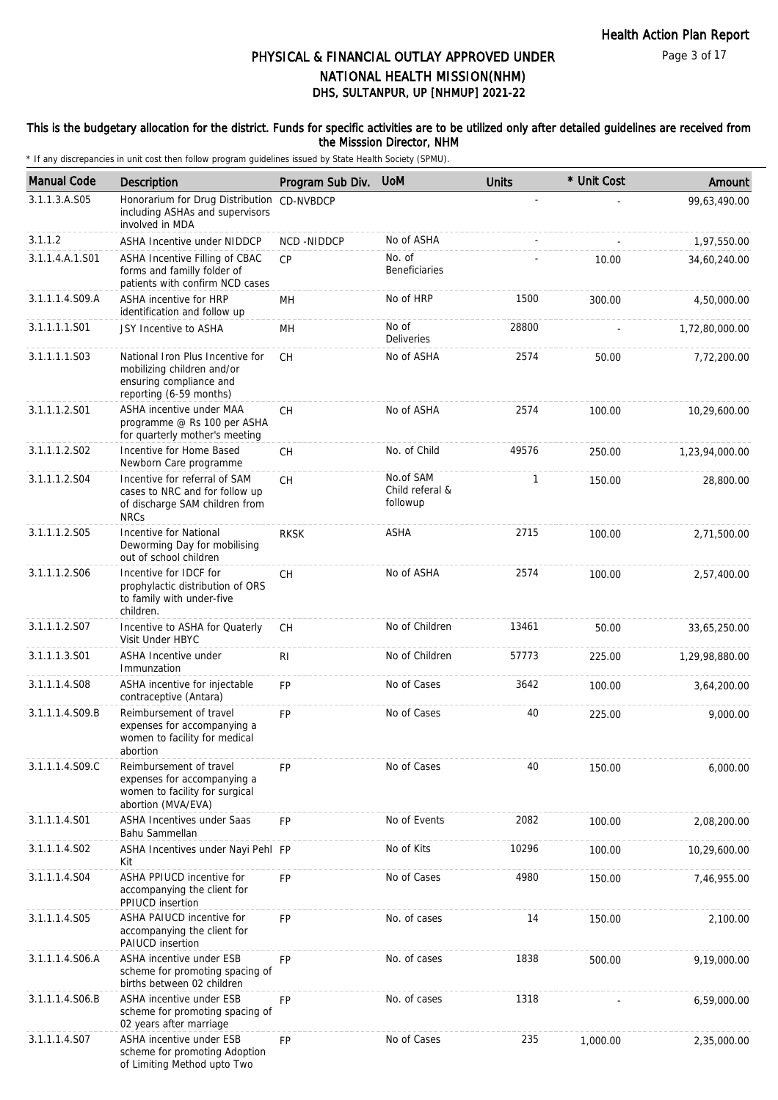#### This is the budgetary allocation for the district. Funds for specific activities are to be utilized only after detailed guidelines are received from the Misssion Director, NHM

| <b>Manual Code</b> | Description                                                                                                          | Program Sub Div. | <b>UoM</b>                               | <b>Units</b> | * Unit Cost | Amount         |
|--------------------|----------------------------------------------------------------------------------------------------------------------|------------------|------------------------------------------|--------------|-------------|----------------|
| 3.1.1.3.A.S05      | Honorarium for Drug Distribution<br>including ASHAs and supervisors<br>involved in MDA                               | CD-NVBDCP        |                                          |              |             | 99,63,490.00   |
| 3.1.1.2            | <b>ASHA Incentive under NIDDCP</b>                                                                                   | NCD-NIDDCP       | No of ASHA                               |              |             | 1,97,550.00    |
| 3.1.1.4.A.1.S01    | ASHA Incentive Filling of CBAC<br>forms and familly folder of<br>patients with confirm NCD cases                     | <b>CP</b>        | No. of<br><b>Beneficiaries</b>           |              | 10.00       | 34,60,240.00   |
| 3.1.1.1.4.S09.A    | <b>ASHA incentive for HRP</b><br>identification and follow up                                                        | MН               | No of HRP                                | 1500         | 300.00      | 4,50,000.00    |
| 3.1.1.1.1.S01      | JSY Incentive to ASHA                                                                                                | MН               | No of<br>Deliveries                      | 28800        |             | 1,72,80,000.00 |
| 3.1.1.1.1.S03      | National Iron Plus Incentive for<br>mobilizing children and/or<br>ensuring compliance and<br>reporting (6-59 months) | <b>CH</b>        | No of ASHA                               | 2574         | 50.00       | 7,72,200.00    |
| 3.1.1.1.2.S01      | ASHA incentive under MAA<br>programme @ Rs 100 per ASHA<br>for quarterly mother's meeting                            | <b>CH</b>        | No of ASHA                               | 2574         | 100.00      | 10,29,600.00   |
| 3.1.1.1.2.S02      | Incentive for Home Based<br>Newborn Care programme                                                                   | <b>CH</b>        | No. of Child                             | 49576        | 250.00      | 1,23,94,000.00 |
| 3.1.1.1.2.S04      | Incentive for referral of SAM<br>cases to NRC and for follow up<br>of discharge SAM children from<br><b>NRCs</b>     | <b>CH</b>        | No.of SAM<br>Child referal &<br>followup | $\mathbf{1}$ | 150.00      | 28,800.00      |
| 3.1.1.1.2.S05      | Incentive for National<br>Deworming Day for mobilising<br>out of school children                                     | <b>RKSK</b>      | ASHA                                     | 2715         | 100.00      | 2,71,500.00    |
| 3.1.1.1.2.S06      | Incentive for IDCF for<br>prophylactic distribution of ORS<br>to family with under-five<br>children.                 | CH               | No of ASHA                               | 2574         | 100.00      | 2,57,400.00    |
| 3.1.1.1.2.S07      | Incentive to ASHA for Quaterly<br>Visit Under HBYC                                                                   | CH.              | No of Children                           | 13461        | 50.00       | 33,65,250.00   |
| 3.1.1.1.3.S01      | ASHA Incentive under<br>Immunzation                                                                                  | R <sub>1</sub>   | No of Children                           | 57773        | 225.00      | 1,29,98,880.00 |
| 3.1.1.1.4.S08      | ASHA incentive for injectable<br>contraceptive (Antara)                                                              | FP               | No of Cases                              | 3642         | 100.00      | 3,64,200.00    |
| 3.1.1.1.4.S09.B    | Reimbursement of travel<br>expenses for accompanying a<br>women to facility for medical<br>abortion                  | FP               | No of Cases                              | 40           | 225.00      | 9,000.00       |
| 3.1.1.1.4.S09.C    | Reimbursement of travel<br>expenses for accompanying a<br>women to facility for surgical<br>abortion (MVA/EVA)       | <b>FP</b>        | No of Cases                              | 40           | 150.00      | 6,000.00       |
| 3.1.1.1.4.S01      | ASHA Incentives under Saas<br>Bahu Sammellan                                                                         | <b>FP</b>        | No of Events                             | 2082         | 100.00      | 2,08,200.00    |
| 3.1.1.1.4.S02      | ASHA Incentives under Nayi Pehl FP<br>Kit                                                                            |                  | No of Kits                               | 10296        | 100.00      | 10,29,600.00   |
| 3.1.1.1.4.S04      | ASHA PPIUCD incentive for<br>accompanying the client for<br>PPIUCD insertion                                         | FP               | No of Cases                              | 4980         | 150.00      | 7,46,955.00    |
| 3.1.1.1.4.S05      | ASHA PAIUCD incentive for<br>accompanying the client for<br>PAIUCD insertion                                         | <b>FP</b>        | No. of cases                             | 14           | 150.00      | 2,100.00       |
| 3.1.1.1.4.S06.A    | ASHA incentive under ESB<br>scheme for promoting spacing of<br>births between 02 children                            | FP               | No. of cases                             | 1838         | 500.00      | 9,19,000.00    |
| 3.1.1.1.4.S06.B    | ASHA incentive under ESB<br>scheme for promoting spacing of<br>02 years after marriage                               | <b>FP</b>        | No. of cases                             | 1318         |             | 6,59,000.00    |
| 3.1.1.1.4.S07      | ASHA incentive under ESB<br>scheme for promoting Adoption<br>of Limiting Method upto Two                             | FP               | No of Cases                              | 235          | 1,000.00    | 2,35,000.00    |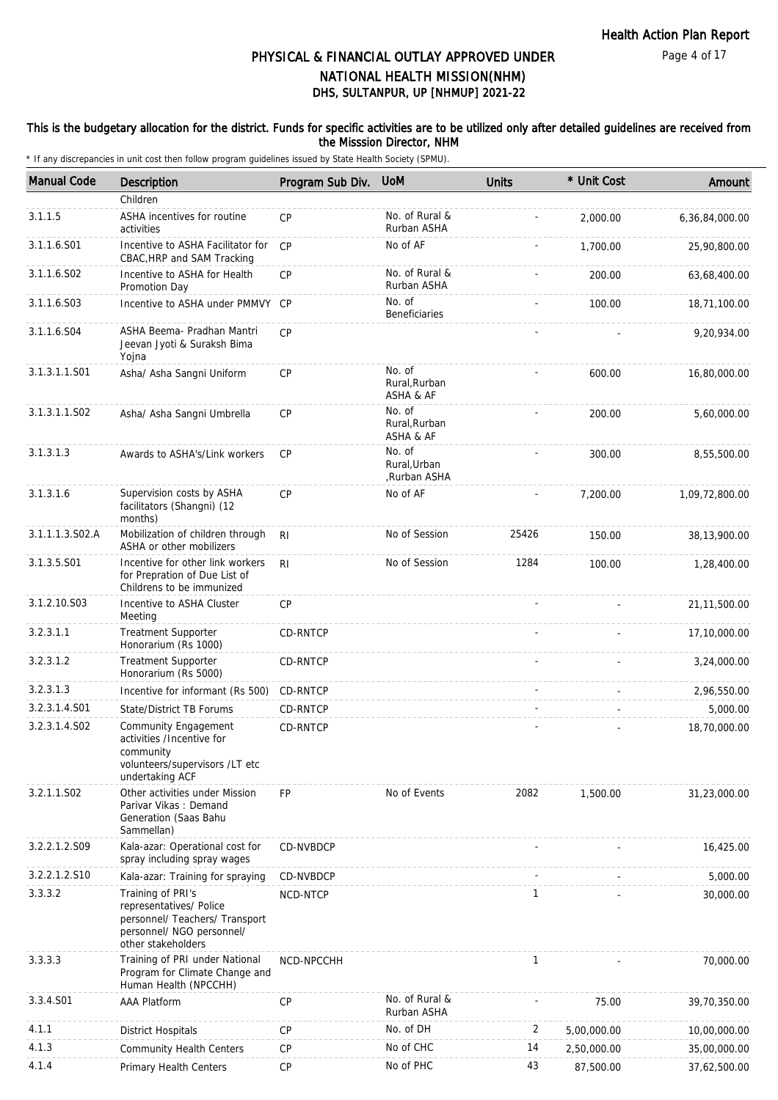#### This is the budgetary allocation for the district. Funds for specific activities are to be utilized only after detailed guidelines are received from the Misssion Director, NHM

| <b>Manual Code</b> | Description                                                                                                                       | Program Sub Div. | <b>UoM</b>                             | <b>Units</b> | * Unit Cost | Amount         |
|--------------------|-----------------------------------------------------------------------------------------------------------------------------------|------------------|----------------------------------------|--------------|-------------|----------------|
|                    | Children                                                                                                                          |                  |                                        |              |             |                |
| 3.1.1.5            | ASHA incentives for routine<br>activities                                                                                         | CP               | No. of Rural &<br>Rurban ASHA          |              | 2,000.00    | 6,36,84,000.00 |
| 3.1.1.6.S01        | Incentive to ASHA Facilitator for<br>CBAC, HRP and SAM Tracking                                                                   | CP               | No of AF                               |              | 1,700.00    | 25,90,800.00   |
| 3.1.1.6.S02        | Incentive to ASHA for Health<br>Promotion Day                                                                                     | CP               | No. of Rural &<br>Rurban ASHA          |              | 200.00      | 63,68,400.00   |
| 3.1.1.6.S03        | Incentive to ASHA under PMMVY CP                                                                                                  |                  | No. of<br><b>Beneficiaries</b>         |              | 100.00      | 18,71,100.00   |
| 3.1.1.6.S04        | ASHA Beema- Pradhan Mantri<br>Jeevan Jyoti & Suraksh Bima<br>Yojna                                                                | CP               |                                        |              |             | 9,20,934.00    |
| 3.1.3.1.1.S01      | Asha/ Asha Sangni Uniform                                                                                                         | <b>CP</b>        | No. of<br>Rural, Rurban<br>ASHA & AF   |              | 600.00      | 16,80,000.00   |
| 3.1.3.1.1.S02      | Asha/ Asha Sangni Umbrella                                                                                                        | CP               | No. of<br>Rural, Rurban<br>ASHA & AF   |              | 200.00      | 5,60,000.00    |
| 3.1.3.1.3          | Awards to ASHA's/Link workers                                                                                                     | <b>CP</b>        | No. of<br>Rural, Urban<br>,Rurban ASHA |              | 300.00      | 8,55,500.00    |
| 3.1.3.1.6          | Supervision costs by ASHA<br>facilitators (Shangni) (12<br>months)                                                                | CP               | No of AF                               |              | 7,200.00    | 1,09,72,800.00 |
| 3.1.1.1.3.S02.A    | Mobilization of children through<br>ASHA or other mobilizers                                                                      | R <sub>l</sub>   | No of Session                          | 25426        | 150.00      | 38,13,900.00   |
| 3.1.3.5.S01        | Incentive for other link workers<br>for Prepration of Due List of<br>Childrens to be immunized                                    | R <sub>l</sub>   | No of Session                          | 1284         | 100.00      | 1,28,400.00    |
| 3.1.2.10.S03       | Incentive to ASHA Cluster<br>Meeting                                                                                              | CP               |                                        |              |             | 21, 11, 500.00 |
| 3.2.3.1.1          | <b>Treatment Supporter</b><br>Honorarium (Rs 1000)                                                                                | CD-RNTCP         |                                        |              |             | 17,10,000.00   |
| 3.2.3.1.2          | <b>Treatment Supporter</b><br>Honorarium (Rs 5000)                                                                                | CD-RNTCP         |                                        |              |             | 3,24,000.00    |
| 3.2.3.1.3          | Incentive for informant (Rs 500)                                                                                                  | CD-RNTCP         |                                        |              |             | 2,96,550.00    |
| 3.2.3.1.4.S01      | State/District TB Forums                                                                                                          | CD-RNTCP         |                                        |              |             | 5,000.00       |
| 3.2.3.1.4.S02      | Community Engagement<br>activities /Incentive for<br>community<br>volunteers/supervisors /LT etc<br>undertaking ACF               | CD-RNTCP         |                                        |              |             | 18,70,000.00   |
| 3.2.1.1.S02        | Other activities under Mission<br>Parivar Vikas: Demand<br>Generation (Saas Bahu<br>Sammellan)                                    | <b>FP</b>        | No of Events                           | 2082         | 1,500.00    | 31,23,000.00   |
| 3.2.2.1.2.S09      | Kala-azar: Operational cost for<br>spray including spray wages                                                                    | CD-NVBDCP        |                                        |              |             | 16,425.00      |
| 3.2.2.1.2.S10      | Kala-azar: Training for spraying                                                                                                  | CD-NVBDCP        |                                        |              |             | 5,000.00       |
| 3.3.3.2            | Training of PRI's<br>representatives/ Police<br>personnel/ Teachers/ Transport<br>personnel/ NGO personnel/<br>other stakeholders | NCD-NTCP         |                                        | 1            |             | 30,000.00      |
| 3.3.3.3            | Training of PRI under National<br>Program for Climate Change and<br>Human Health (NPCCHH)                                         | NCD-NPCCHH       |                                        | 1            |             | 70,000.00      |
| 3.3.4.S01          | <b>AAA Platform</b>                                                                                                               | <b>CP</b>        | No. of Rural &<br>Rurban ASHA          |              | 75.00       | 39,70,350.00   |
| 4.1.1              | <b>District Hospitals</b>                                                                                                         | <b>CP</b>        | No. of DH                              | 2            | 5,00,000.00 | 10,00,000.00   |
| 4.1.3              | <b>Community Health Centers</b>                                                                                                   | <b>CP</b>        | No of CHC                              | 14           | 2,50,000.00 | 35,00,000.00   |
| 4.1.4              | Primary Health Centers                                                                                                            | CP               | No of PHC                              | 43           | 87,500.00   | 37,62,500.00   |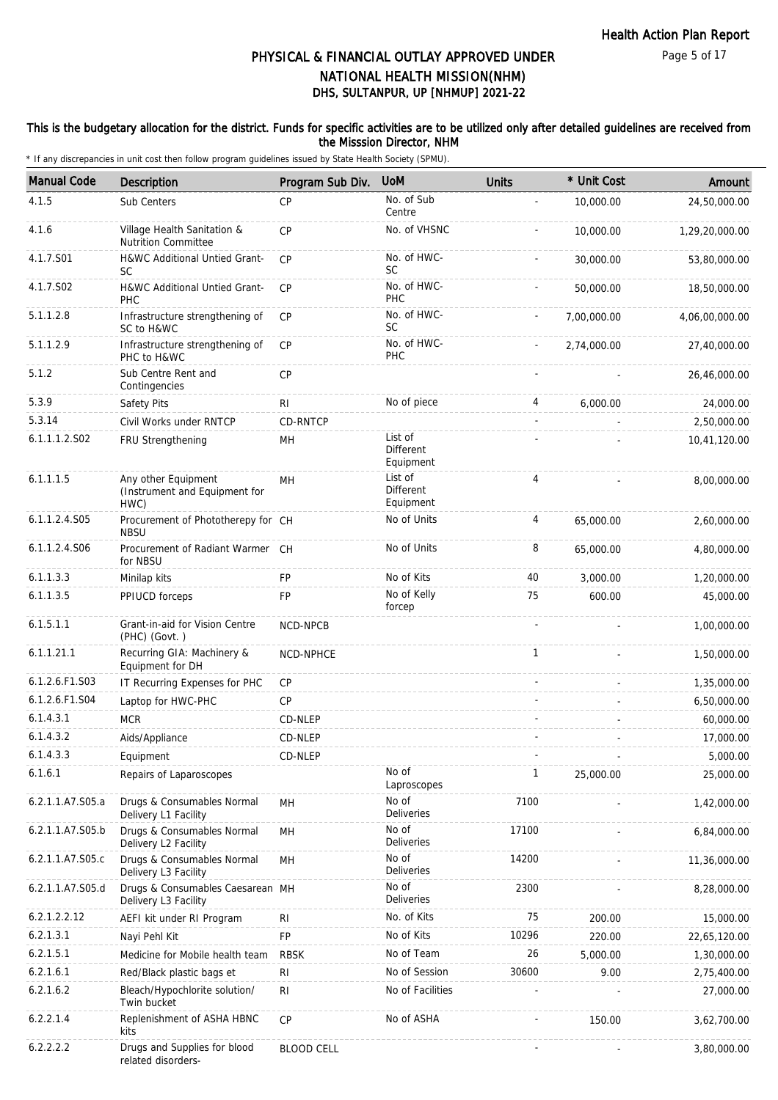#### This is the budgetary allocation for the district. Funds for specific activities are to be utilized only after detailed guidelines are received from the Misssion Director, NHM

| <b>Manual Code</b> | <b>Description</b>                                                 | Program Sub Div.  | <b>UoM</b>                               | <b>Units</b> | * Unit Cost | Amount         |
|--------------------|--------------------------------------------------------------------|-------------------|------------------------------------------|--------------|-------------|----------------|
| 4.1.5              | Sub Centers                                                        | CP                | No. of Sub<br>Centre                     |              | 10,000.00   | 24,50,000.00   |
| 4.1.6              | Village Health Sanitation &                                        | <b>CP</b>         | No. of VHSNC                             |              | 10,000.00   | 1,29,20,000.00 |
| 4.1.7.S01          | <b>Nutrition Committee</b><br>H&WC Additional Untied Grant-<br>SC. | CP                | No. of HWC-<br><b>SC</b>                 |              | 30,000.00   | 53,80,000.00   |
| 4.1.7.S02          | H&WC Additional Untied Grant-<br><b>PHC</b>                        | CP                | No. of HWC-<br>PHC                       |              | 50,000.00   | 18,50,000.00   |
| 5.1.1.2.8          | Infrastructure strengthening of<br>SC to H&WC                      | <b>CP</b>         | No. of HWC-<br><b>SC</b>                 |              | 7.00.000.00 | 4,06,00,000.00 |
| 5.1.1.2.9          | Infrastructure strengthening of<br>PHC to H&WC                     | <b>CP</b>         | No. of HWC-<br>PHC                       |              | 2,74,000.00 | 27,40,000.00   |
| 5.1.2              | Sub Centre Rent and<br>Contingencies                               | CP                |                                          |              |             | 26,46,000.00   |
| 5.3.9              | Safety Pits                                                        | R <sub>1</sub>    | No of piece                              | 4            | 6,000.00    | 24,000.00      |
| 5.3.14             | Civil Works under RNTCP                                            | CD-RNTCP          |                                          |              |             | 2,50,000.00    |
| 6.1.1.1.2.S02      | FRU Strengthening                                                  | MН                | List of<br><b>Different</b><br>Equipment |              |             | 10,41,120.00   |
| 6.1.1.1.5          | Any other Equipment<br>(Instrument and Equipment for<br>HWC)       | MH                | List of<br>Different<br>Equipment        | 4            |             | 8,00,000.00    |
| 6.1.1.2.4.S05      | Procurement of Phototherepy for CH<br><b>NBSU</b>                  |                   | No of Units                              | 4            | 65,000.00   | 2,60,000.00    |
| 6.1.1.2.4.S06      | Procurement of Radiant Warmer CH<br>for NBSU                       |                   | No of Units                              | 8            | 65,000.00   | 4,80,000.00    |
| 6.1.1.3.3          | Minilap kits                                                       | <b>FP</b>         | No of Kits                               | 40           | 3,000.00    | 1,20,000.00    |
| 6.1.1.3.5          | PPIUCD forceps                                                     | FP                | No of Kelly<br>forcep                    | 75           | 600.00      | 45,000.00      |
| 6.1.5.1.1          | Grant-in-aid for Vision Centre<br>(PHC) (Govt.)                    | NCD-NPCB          |                                          |              |             | 1,00,000.00    |
| 6.1.1.21.1         | Recurring GIA: Machinery &<br>Equipment for DH                     | NCD-NPHCE         |                                          | $\mathbf{1}$ |             | 1,50,000.00    |
| 6.1.2.6.F1.S03     | IT Recurring Expenses for PHC                                      | СP                |                                          |              |             | 1,35,000.00    |
| 6.1.2.6.F1.S04     | Laptop for HWC-PHC                                                 | CP                |                                          |              |             | 6,50,000.00    |
| 6.1.4.3.1          | <b>MCR</b>                                                         | CD-NLEP           |                                          |              |             | 60,000.00      |
| 6.1.4.3.2          | Aids/Appliance                                                     | CD-NLEP           |                                          |              |             | 17,000.00      |
| 6.1.4.3.3          | Equipment                                                          | CD-NLEP           |                                          |              |             | 5,000.00       |
| 6.1.6.1            | Repairs of Laparoscopes                                            |                   | No of<br>Laproscopes                     | $\mathbf{1}$ | 25,000.00   | 25,000.00      |
| 6.2.1.1.A7.S05.a   | Drugs & Consumables Normal<br>Delivery L1 Facility                 | MH                | No of<br>Deliveries                      | 7100         |             | 1,42,000.00    |
| 6.2.1.1.A7.S05.b   | Drugs & Consumables Normal<br>Delivery L2 Facility                 | MH                | No of<br>Deliveries                      | 17100        |             | 6,84,000.00    |
| 6.2.1.1.A7.S05.c   | Drugs & Consumables Normal<br>Delivery L3 Facility                 | MН                | No of<br>Deliveries                      | 14200        |             | 11,36,000.00   |
| 6.2.1.1.A7.S05.d   | Drugs & Consumables Caesarean MH<br>Delivery L3 Facility           |                   | No of<br>Deliveries                      | 2300         |             | 8,28,000.00    |
| 6.2.1.2.2.12       | AEFI kit under RI Program                                          | RI                | No. of Kits                              | 75           | 200.00      | 15,000.00      |
| 6.2.1.3.1          | Nayi Pehl Kit                                                      | FP                | No of Kits                               | 10296        | 220.00      | 22,65,120.00   |
| 6.2.1.5.1          | Medicine for Mobile health team                                    | <b>RBSK</b>       | No of Team                               | 26           | 5,000.00    | 1,30,000.00    |
| 6.2.1.6.1          | Red/Black plastic bags et                                          | <b>RI</b>         | No of Session                            | 30600        | 9.00        | 2,75,400.00    |
| 6.2.1.6.2          | Bleach/Hypochlorite solution/<br>Twin bucket                       | R <sub>l</sub>    | No of Facilities                         |              |             | 27,000.00      |
| 6.2.2.1.4          | Replenishment of ASHA HBNC<br>kits                                 | <b>CP</b>         | No of ASHA                               |              | 150.00      | 3,62,700.00    |
| 6.2.2.2.2          | Drugs and Supplies for blood<br>related disorders-                 | <b>BLOOD CELL</b> |                                          |              |             | 3,80,000.00    |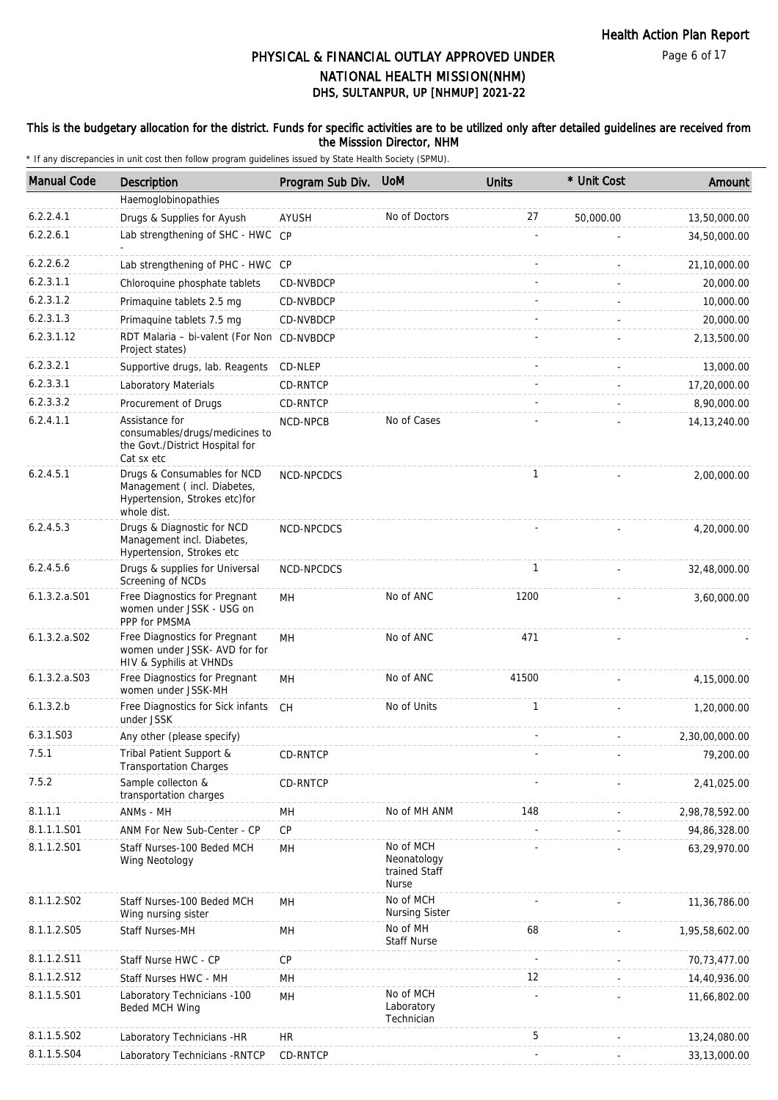#### This is the budgetary allocation for the district. Funds for specific activities are to be utilized only after detailed guidelines are received from the Misssion Director, NHM

| <b>Manual Code</b> | Description                                                                                                | Program Sub Div. | <b>UoM</b>                                         | <b>Units</b> | * Unit Cost | Amount         |
|--------------------|------------------------------------------------------------------------------------------------------------|------------------|----------------------------------------------------|--------------|-------------|----------------|
|                    | Haemoglobinopathies                                                                                        |                  |                                                    |              |             |                |
| 6.2.2.4.1          | Drugs & Supplies for Ayush                                                                                 | AYUSH            | No of Doctors                                      | 27           | 50,000.00   | 13,50,000.00   |
| 6.2.2.6.1          | Lab strengthening of SHC - HWC CP                                                                          |                  |                                                    |              |             | 34,50,000.00   |
| 6.2.2.6.2          | Lab strengthening of PHC - HWC CP                                                                          |                  |                                                    |              |             | 21,10,000.00   |
| 6.2.3.1.1          | Chloroquine phosphate tablets                                                                              | CD-NVBDCP        |                                                    |              |             | 20,000.00      |
| 6.2.3.1.2          | Primaguine tablets 2.5 mg                                                                                  | CD-NVBDCP        |                                                    |              |             | 10,000.00      |
| 6.2.3.1.3          | Primaquine tablets 7.5 mg                                                                                  | CD-NVBDCP        |                                                    |              |             | 20,000.00      |
| 6.2.3.1.12         | RDT Malaria - bi-valent (For Non CD-NVBDCP<br>Project states)                                              |                  |                                                    |              |             | 2,13,500.00    |
| 6.2.3.2.1          | Supportive drugs, lab. Reagents                                                                            | CD-NLEP          |                                                    |              |             | 13,000.00      |
| 6.2.3.3.1          | Laboratory Materials                                                                                       | CD-RNTCP         |                                                    |              |             | 17,20,000.00   |
| 6.2.3.3.2          | Procurement of Drugs                                                                                       | CD-RNTCP         |                                                    |              |             | 8,90,000.00    |
| 6.2.4.1.1          | Assistance for<br>consumables/drugs/medicines to<br>the Govt./District Hospital for<br>Cat sx etc          | NCD-NPCB         | No of Cases                                        |              |             | 14, 13, 240.00 |
| 6.2.4.5.1          | Drugs & Consumables for NCD<br>Management (incl. Diabetes,<br>Hypertension, Strokes etc)for<br>whole dist. | NCD-NPCDCS       |                                                    | 1            |             | 2,00,000.00    |
| 6.2.4.5.3          | Drugs & Diagnostic for NCD<br>Management incl. Diabetes,<br>Hypertension, Strokes etc                      | NCD-NPCDCS       |                                                    |              |             | 4,20,000.00    |
| 6.2.4.5.6          | Drugs & supplies for Universal<br>Screening of NCDs                                                        | NCD-NPCDCS       |                                                    | 1            |             | 32,48,000.00   |
| 6.1.3.2.a.S01      | Free Diagnostics for Pregnant<br>women under JSSK - USG on<br>PPP for PMSMA                                | MH               | No of ANC                                          | 1200         |             | 3,60,000.00    |
| $6.1.3.2.a.$ SO2   | Free Diagnostics for Pregnant<br>women under JSSK- AVD for for<br>HIV & Syphilis at VHNDs                  | MH               | No of ANC                                          | 471          |             |                |
| 6.1.3.2.a. S03     | Free Diagnostics for Pregnant<br>women under JSSK-MH                                                       | MH               | No of ANC                                          | 41500        |             | 4,15,000.00    |
| 6.1.3.2.b          | Free Diagnostics for Sick infants CH<br>under JSSK                                                         |                  | No of Units                                        | 1            |             | 1,20,000.00    |
| 6.3.1.S03          | Any other (please specify)                                                                                 |                  |                                                    |              |             | 2,30,00,000.00 |
| 7.5.1              | Tribal Patient Support &<br><b>Transportation Charges</b>                                                  | CD-RNTCP         |                                                    |              |             | 79,200.00      |
| 7.5.2              | Sample collecton &<br>transportation charges                                                               | CD-RNTCP         |                                                    |              |             | 2,41,025.00    |
| 8.1.1.1            | ANMs - MH                                                                                                  | MH               | No of MH ANM                                       | 148          |             | 2,98,78,592.00 |
| 8.1.1.1.S01        | ANM For New Sub-Center - CP                                                                                | <b>CP</b>        |                                                    |              |             | 94,86,328.00   |
| 8.1.1.2.S01        | Staff Nurses-100 Beded MCH<br>Wing Neotology                                                               | MH               | No of MCH<br>Neonatology<br>trained Staff<br>Nurse |              |             | 63,29,970.00   |
| 8.1.1.2.S02        | Staff Nurses-100 Beded MCH<br>Wing nursing sister                                                          | MH               | No of MCH<br><b>Nursing Sister</b>                 |              |             | 11,36,786.00   |
| 8.1.1.2.S05        | Staff Nurses-MH                                                                                            | MH               | No of MH<br><b>Staff Nurse</b>                     | 68           |             | 1,95,58,602.00 |
| 8.1.1.2.S11        | Staff Nurse HWC - CP                                                                                       | <b>CP</b>        |                                                    |              |             | 70,73,477.00   |
| 8.1.1.2.S12        | Staff Nurses HWC - MH                                                                                      | MH               |                                                    | 12           |             | 14,40,936.00   |
| 8.1.1.5.S01        | Laboratory Technicians -100<br>Beded MCH Wing                                                              | MH               | No of MCH<br>Laboratory<br>Technician              |              |             | 11,66,802.00   |
| 8.1.1.5.S02        | Laboratory Technicians - HR                                                                                | <b>HR</b>        |                                                    | 5            |             | 13,24,080.00   |
| 8.1.1.5.S04        | Laboratory Technicians - RNTCP                                                                             | CD-RNTCP         |                                                    |              |             | 33,13,000.00   |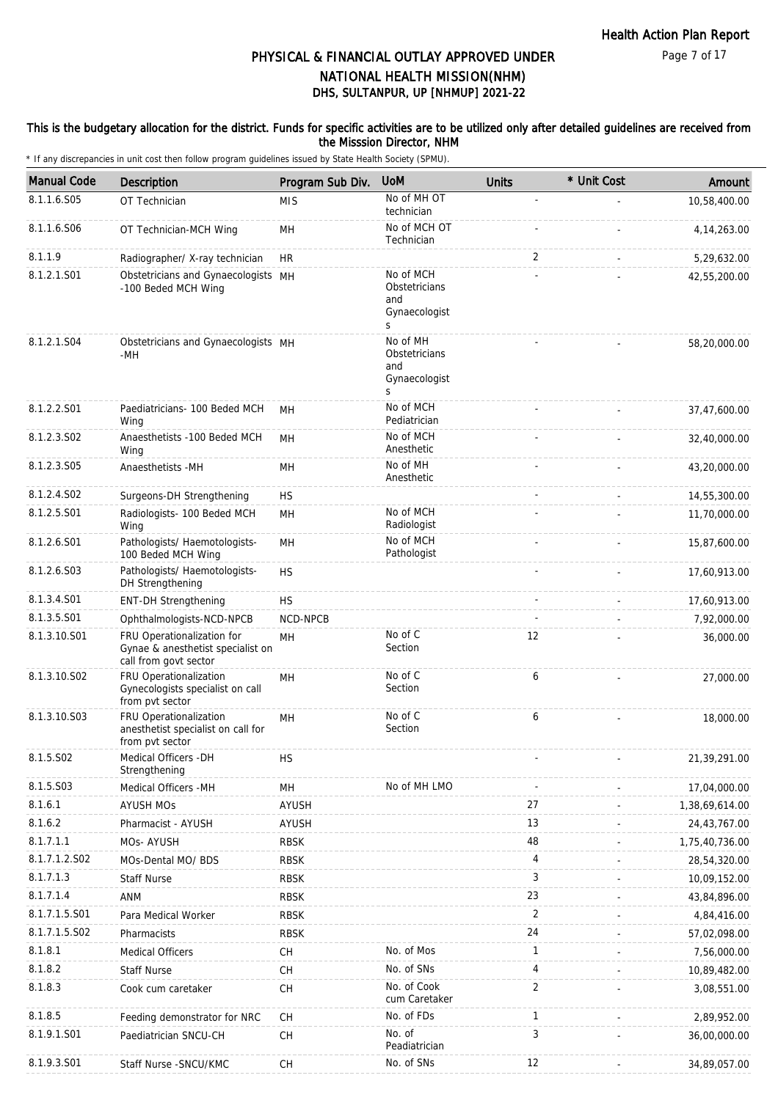#### This is the budgetary allocation for the district. Funds for specific activities are to be utilized only after detailed guidelines are received from the Misssion Director, NHM

| <b>Manual Code</b> | <b>Description</b>                                                                       | Program Sub Div.     | <b>UoM</b>                                               | <b>Units</b>   | * Unit Cost | Amount         |
|--------------------|------------------------------------------------------------------------------------------|----------------------|----------------------------------------------------------|----------------|-------------|----------------|
| 8.1.1.6.S05        | OT Technician                                                                            | <b>MIS</b>           | No of MH OT<br>technician                                |                |             | 10,58,400.00   |
| 8.1.1.6.S06        | OT Technician-MCH Wing                                                                   | MН                   | No of MCH OT<br>Technician                               |                |             | 4, 14, 263.00  |
| 8.1.1.9            | Radiographer/ X-ray technician                                                           | <b>HR</b>            |                                                          | 2              |             | 5,29,632.00    |
| 8.1.2.1.S01        | Obstetricians and Gynaecologists MH<br>-100 Beded MCH Wing                               |                      | No of MCH<br>Obstetricians<br>and<br>Gynaecologist<br>S. |                |             | 42,55,200.00   |
| 8.1.2.1.S04        | Obstetricians and Gynaecologists MH<br>-MH                                               |                      | No of MH<br>Obstetricians<br>and<br>Gynaecologist<br>S   |                |             | 58,20,000.00   |
| 8.1.2.2.S01        | Paediatricians- 100 Beded MCH<br>Wing                                                    | MН                   | No of MCH<br>Pediatrician                                |                |             | 37,47,600.00   |
| 8.1.2.3.S02        | Anaesthetists -100 Beded MCH<br>Wing                                                     | MН                   | No of MCH<br>Anesthetic                                  |                |             | 32,40,000.00   |
| 8.1.2.3.S05        | Anaesthetists -MH                                                                        | MН                   | No of MH<br>Anesthetic                                   |                |             | 43,20,000.00   |
| 8.1.2.4.S02        | Surgeons-DH Strengthening                                                                | <b>HS</b>            |                                                          | $\overline{a}$ |             | 14,55,300.00   |
| 8.1.2.5.S01        | Radiologists- 100 Beded MCH<br>Wing                                                      | MH                   | No of MCH<br>Radiologist                                 |                |             | 11,70,000.00   |
| 8.1.2.6.S01        | Pathologists/ Haemotologists-<br>100 Beded MCH Wing                                      | MН                   | No of MCH<br>Pathologist                                 |                |             | 15,87,600.00   |
| 8.1.2.6.S03        | Pathologists/ Haemotologists-<br>DH Strengthening                                        | <b>HS</b>            |                                                          |                |             | 17,60,913.00   |
| 8.1.3.4.S01        | <b>ENT-DH Strengthening</b>                                                              | <b>HS</b>            |                                                          |                |             | 17,60,913.00   |
| 8.1.3.5.S01        | Ophthalmologists-NCD-NPCB                                                                | NCD-NPCB             |                                                          |                |             | 7,92,000.00    |
| 8.1.3.10.S01       | FRU Operationalization for<br>Gynae & anesthetist specialist on<br>call from govt sector | MH                   | No of C<br>Section                                       | 12             |             | 36,000.00      |
| 8.1.3.10.S02       | FRU Operationalization<br>Gynecologists specialist on call<br>from pvt sector            | MH                   | No of C<br>Section                                       | 6              |             | 27,000.00      |
| 8.1.3.10.S03       | FRU Operationalization<br>anesthetist specialist on call for<br>from pvt sector          | <b>MH</b>            | No of C<br>Section                                       | 6              |             | 18,000.00      |
| 8.1.5.S02          | Medical Officers - DH<br>Strengthening                                                   | <b>HS</b>            |                                                          |                |             | 21,39,291.00   |
| 8.1.5.S03          | Medical Officers -MH                                                                     | $\mathsf{MH}\xspace$ | No of MH LMO                                             |                |             | 17,04,000.00   |
| 8.1.6.1            | <b>AYUSH MOs</b>                                                                         | <b>AYUSH</b>         |                                                          | 27             |             | 1,38,69,614.00 |
| 8.1.6.2            | Pharmacist - AYUSH                                                                       | <b>AYUSH</b>         |                                                          | 13             |             | 24,43,767.00   |
| 8.1.7.1.1          | MOs-AYUSH                                                                                | <b>RBSK</b>          |                                                          | 48             |             | 1,75,40,736.00 |
| 8.1.7.1.2.S02      | MOs-Dental MO/ BDS                                                                       | <b>RBSK</b>          |                                                          | 4              |             | 28,54,320.00   |
| 8.1.7.1.3          | <b>Staff Nurse</b>                                                                       | <b>RBSK</b>          |                                                          | 3              |             | 10,09,152.00   |
| 8.1.7.1.4          | <b>ANM</b>                                                                               | <b>RBSK</b>          |                                                          | 23             |             | 43,84,896.00   |
| 8.1.7.1.5.S01      | Para Medical Worker                                                                      | <b>RBSK</b>          |                                                          | $\overline{2}$ |             | 4,84,416.00    |
| 8.1.7.1.5.S02      | Pharmacists                                                                              | <b>RBSK</b>          |                                                          | 24             |             | 57,02,098.00   |
| 8.1.8.1            | <b>Medical Officers</b>                                                                  | CH                   | No. of Mos                                               | 1              |             | 7,56,000.00    |
| 8.1.8.2            | <b>Staff Nurse</b>                                                                       | <b>CH</b>            | No. of SNs                                               | 4              |             | 10,89,482.00   |
| 8.1.8.3            | Cook cum caretaker                                                                       | <b>CH</b>            | No. of Cook<br>cum Caretaker                             | $\overline{2}$ |             | 3,08,551.00    |
| 8.1.8.5            | Feeding demonstrator for NRC                                                             | CH                   | No. of FDs                                               | $\mathbf{1}$   |             | 2,89,952.00    |
| 8.1.9.1.S01        | Paediatrician SNCU-CH                                                                    | <b>CH</b>            | No. of<br>Peadiatrician                                  | 3              |             | 36,00,000.00   |
| 8.1.9.3.S01        | Staff Nurse - SNCU/KMC                                                                   | CH                   | No. of SNs                                               | 12             |             | 34,89,057.00   |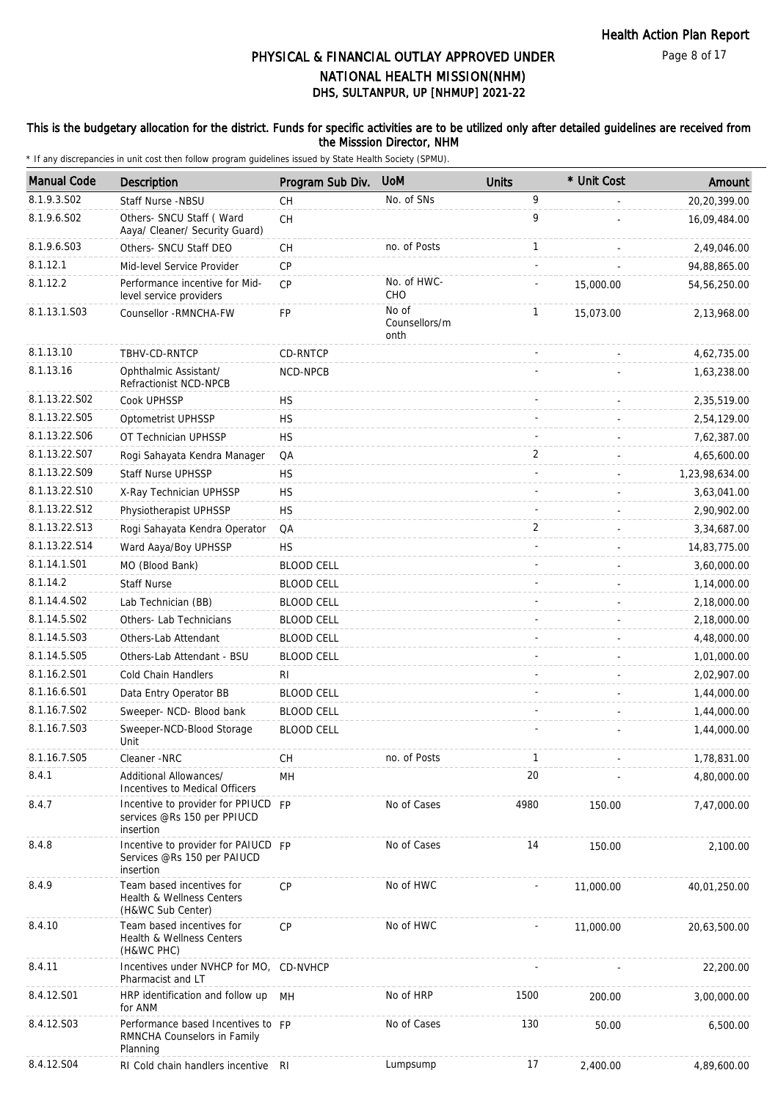#### This is the budgetary allocation for the district. Funds for specific activities are to be utilized only after detailed guidelines are received from the Misssion Director, NHM

| <b>Manual Code</b> | Description                                                                     | Program Sub Div.  | <b>UoM</b>                     | <b>Units</b>   | * Unit Cost | Amount         |
|--------------------|---------------------------------------------------------------------------------|-------------------|--------------------------------|----------------|-------------|----------------|
| 8.1.9.3.SO2        | Staff Nurse -NBSU                                                               | CH                | No. of SNs                     | 9              |             | 20,20,399.00   |
| 8.1.9.6.S02        | Others- SNCU Staff ( Ward<br>Aaya/ Cleaner/ Security Guard)                     | <b>CH</b>         |                                | 9              |             | 16,09,484.00   |
| 8.1.9.6.S03        | Others- SNCU Staff DEO                                                          | <b>CH</b>         | no. of Posts                   | $\mathbf{1}$   |             | 2,49,046.00    |
| 8.1.12.1           | Mid-level Service Provider                                                      | CP                |                                |                |             | 94,88,865.00   |
| 8.1.12.2           | Performance incentive for Mid-<br>level service providers                       | <b>CP</b>         | No. of HWC-<br>CHO             |                | 15,000.00   | 54,56,250.00   |
| 8.1.13.1.S03       | Counsellor - RMNCHA-FW                                                          | FP                | No of<br>Counsellors/m<br>onth | $\mathbf{1}$   | 15,073.00   | 2,13,968.00    |
| 8.1.13.10          | TBHV-CD-RNTCP                                                                   | CD-RNTCP          |                                |                |             | 4,62,735.00    |
| 8.1.13.16          | Ophthalmic Assistant/<br>Refractionist NCD-NPCB                                 | NCD-NPCB          |                                |                |             | 1,63,238.00    |
| 8.1.13.22.S02      | Cook UPHSSP                                                                     | <b>HS</b>         |                                |                |             | 2,35,519.00    |
| 8.1.13.22.S05      | Optometrist UPHSSP                                                              | <b>HS</b>         |                                |                |             | 2,54,129.00    |
| 8.1.13.22.S06      | OT Technician UPHSSP                                                            | <b>HS</b>         |                                |                |             | 7,62,387.00    |
| 8.1.13.22.S07      | Rogi Sahayata Kendra Manager                                                    | QA                |                                | $\overline{2}$ |             | 4,65,600.00    |
| 8.1.13.22.S09      | <b>Staff Nurse UPHSSP</b>                                                       | <b>HS</b>         |                                |                |             | 1,23,98,634.00 |
| 8.1.13.22.S10      | X-Ray Technician UPHSSP                                                         | <b>HS</b>         |                                |                |             | 3,63,041.00    |
| 8.1.13.22.S12      | Physiotherapist UPHSSP                                                          | <b>HS</b>         |                                |                |             | 2,90,902.00    |
| 8.1.13.22.S13      | Rogi Sahayata Kendra Operator                                                   | QA                |                                | $\overline{2}$ |             | 3,34,687.00    |
| 8.1.13.22.S14      | Ward Aaya/Boy UPHSSP                                                            | HS                |                                |                |             | 14,83,775.00   |
| 8.1.14.1.S01       | MO (Blood Bank)                                                                 | <b>BLOOD CELL</b> |                                |                |             | 3,60,000.00    |
| 8.1.14.2           | <b>Staff Nurse</b>                                                              | <b>BLOOD CELL</b> |                                |                |             | 1,14,000.00    |
| 8.1.14.4.S02       | Lab Technician (BB)                                                             | <b>BLOOD CELL</b> |                                |                |             | 2,18,000.00    |
| 8.1.14.5.S02       | Others- Lab Technicians                                                         | <b>BLOOD CELL</b> |                                |                |             | 2,18,000.00    |
| 8.1.14.5.S03       | Others-Lab Attendant                                                            | <b>BLOOD CELL</b> |                                |                |             | 4,48,000.00    |
| 8.1.14.5.S05       | Others-Lab Attendant - BSU                                                      | <b>BLOOD CELL</b> |                                |                |             | 1,01,000.00    |
| 8.1.16.2.S01       | <b>Cold Chain Handlers</b>                                                      | RI                |                                |                |             | 2,02,907.00    |
| 8.1.16.6.S01       | Data Entry Operator BB                                                          | <b>BLOOD CELL</b> |                                |                |             | 1,44,000.00    |
| 8.1.16.7.S02       | Sweeper- NCD- Blood bank                                                        | <b>BLOOD CELL</b> |                                |                |             | 1,44,000.00    |
| 8.1.16.7.S03       | Sweeper-NCD-Blood Storage                                                       | <b>BLOOD CELL</b> |                                |                |             | 1,44,000.00    |
|                    | Unit                                                                            |                   |                                |                |             |                |
| 8.1.16.7.S05       | Cleaner -NRC                                                                    | <b>CH</b>         | no. of Posts                   | 1              |             | 1,78,831.00    |
| 8.4.1              | Additional Allowances/<br>Incentives to Medical Officers                        | MH                |                                | 20             |             | 4,80,000.00    |
| 8.4.7              | Incentive to provider for PPIUCD FP<br>services @Rs 150 per PPIUCD<br>insertion |                   | No of Cases                    | 4980           | 150.00      | 7,47,000.00    |
| 8.4.8              | Incentive to provider for PAIUCD FP<br>Services @Rs 150 per PAIUCD<br>insertion |                   | No of Cases                    | 14             | 150.00      | 2,100.00       |
| 8.4.9              | Team based incentives for<br>Health & Wellness Centers<br>(H&WC Sub Center)     | <b>CP</b>         | No of HWC                      |                | 11,000.00   | 40,01,250.00   |
| 8.4.10             | Team based incentives for<br>Health & Wellness Centers<br>(H&WC PHC)            | <b>CP</b>         | No of HWC                      |                | 11,000.00   | 20,63,500.00   |
| 8.4.11             | Incentives under NVHCP for MO, CD-NVHCP<br>Pharmacist and LT                    |                   |                                |                |             | 22,200.00      |
| 8.4.12.S01         | HRP identification and follow up<br>for ANM                                     | MН                | No of HRP                      | 1500           | 200.00      | 3,00,000.00    |
| 8.4.12.S03         | Performance based Incentives to FP<br>RMNCHA Counselors in Family<br>Planning   |                   | No of Cases                    | 130            | 50.00       | 6,500.00       |
| 8.4.12.S04         | RI Cold chain handlers incentive RI                                             |                   | Lumpsump                       | 17             | 2,400.00    | 4,89,600.00    |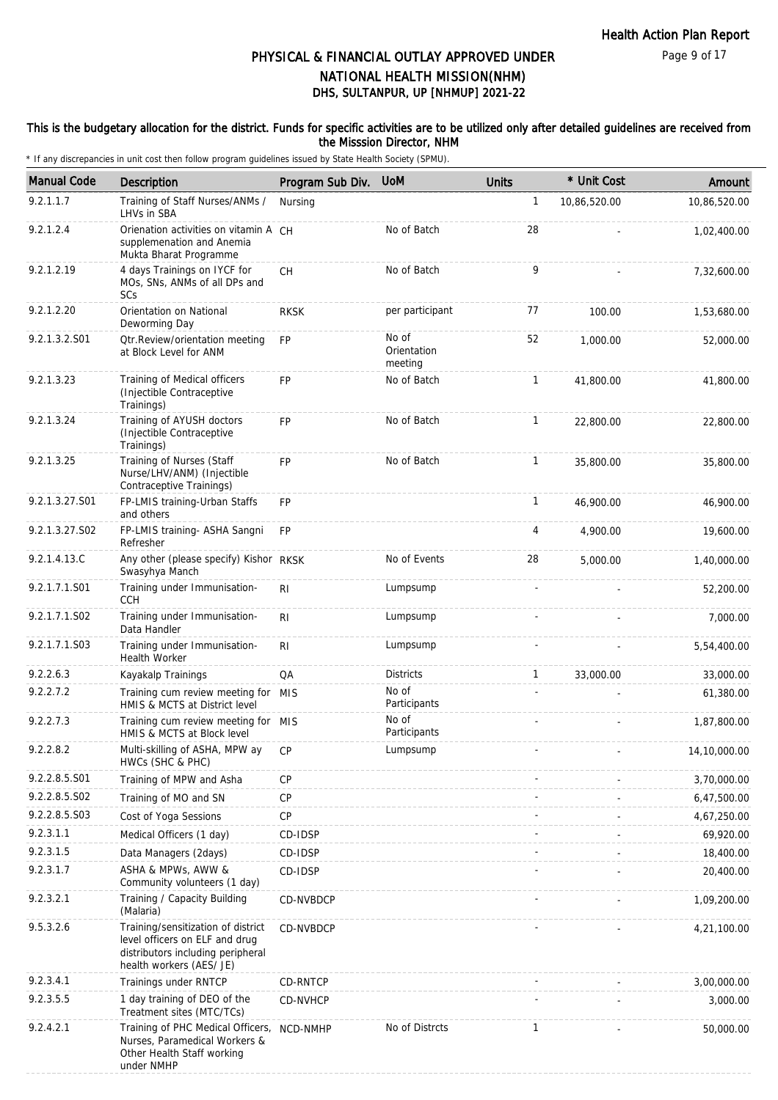Page 9 of 17

## DHS, SULTANPUR, UP [NHMUP] 2021-22 PHYSICAL & FINANCIAL OUTLAY APPROVED UNDER NATIONAL HEALTH MISSION(NHM)

#### This is the budgetary allocation for the district. Funds for specific activities are to be utilized only after detailed guidelines are received from the Misssion Director, NHM

| <b>Manual Code</b> | <b>Description</b>                                                                                                                    | Program Sub Div. | <b>UoM</b>                      | <b>Units</b> | * Unit Cost  | Amount       |
|--------------------|---------------------------------------------------------------------------------------------------------------------------------------|------------------|---------------------------------|--------------|--------------|--------------|
| 9.2.1.1.7          | Training of Staff Nurses/ANMs /<br>LHVs in SBA                                                                                        | Nursing          |                                 | $\mathbf{1}$ | 10,86,520.00 | 10,86,520.00 |
| 9.2.1.2.4          | Orienation activities on vitamin A CH<br>supplemenation and Anemia<br>Mukta Bharat Programme                                          |                  | No of Batch                     | 28           |              | 1,02,400.00  |
| 9.2.1.2.19         | 4 days Trainings on IYCF for<br>MOs, SNs, ANMs of all DPs and<br>SCs                                                                  | <b>CH</b>        | No of Batch                     | 9            |              | 7,32,600.00  |
| 9.2.1.2.20         | Orientation on National<br>Deworming Day                                                                                              | <b>RKSK</b>      | per participant                 | 77           | 100.00       | 1,53,680.00  |
| 9.2.1.3.2.S01      | Otr.Review/orientation meeting<br>at Block Level for ANM                                                                              | <b>FP</b>        | No of<br>Orientation<br>meeting | 52           | 1.000.00     | 52,000.00    |
| 9.2.1.3.23         | Training of Medical officers<br>(Injectible Contraceptive<br>Trainings)                                                               | <b>FP</b>        | No of Batch                     | $\mathbf{1}$ | 41,800.00    | 41,800.00    |
| 9.2.1.3.24         | Training of AYUSH doctors<br>(Injectible Contraceptive<br>Trainings)                                                                  | <b>FP</b>        | No of Batch                     | $\mathbf{1}$ | 22,800.00    | 22,800.00    |
| 9.2.1.3.25         | Training of Nurses (Staff<br>Nurse/LHV/ANM) (Injectible<br>Contraceptive Trainings)                                                   | <b>FP</b>        | No of Batch                     | $\mathbf{1}$ | 35,800.00    | 35,800.00    |
| 9.2.1.3.27.S01     | FP-LMIS training-Urban Staffs<br>and others                                                                                           | FP               |                                 | $\mathbf{1}$ | 46,900.00    | 46,900.00    |
| 9.2.1.3.27.S02     | FP-LMIS training- ASHA Sangni<br>Refresher                                                                                            | <b>FP</b>        |                                 | 4            | 4,900.00     | 19,600.00    |
| 9.2.1.4.13.C       | Any other (please specify) Kishor RKSK<br>Swasyhya Manch                                                                              |                  | No of Events                    | 28           | 5,000.00     | 1,40,000.00  |
| 9.2.1.7.1.S01      | Training under Immunisation-<br><b>CCH</b>                                                                                            | RI               | Lumpsump                        |              |              | 52,200.00    |
| 9.2.1.7.1.S02      | Training under Immunisation-<br>Data Handler                                                                                          | R <sub>1</sub>   | Lumpsump                        |              |              | 7,000.00     |
| 9.2.1.7.1.S03      | Training under Immunisation-<br>Health Worker                                                                                         | R <sub>1</sub>   | Lumpsump                        |              |              | 5,54,400.00  |
| 9.2.2.6.3          | Kayakalp Trainings                                                                                                                    | QA               | <b>Districts</b>                | $\mathbf{1}$ | 33,000.00    | 33,000.00    |
| 9.2.2.7.2          | Training cum review meeting for MIS<br>HMIS & MCTS at District level                                                                  |                  | No of<br>Participants           |              |              | 61,380.00    |
| 9.2.2.7.3          | Training cum review meeting for MIS<br>HMIS & MCTS at Block level                                                                     |                  | No of<br>Participants           |              |              | 1,87,800.00  |
| 9.2.2.8.2          | Multi-skilling of ASHA, MPW ay CP<br>HWCs (SHC & PHC)                                                                                 |                  | Lumpsump                        |              |              | 14,10,000.00 |
| 9.2.2.8.5.S01      | Training of MPW and Asha                                                                                                              | <b>CP</b>        |                                 |              |              | 3,70,000.00  |
| 9.2.2.8.5.S02      | Training of MO and SN                                                                                                                 | CP               |                                 |              |              | 6,47,500.00  |
| 9.2.2.8.5.S03      | Cost of Yoga Sessions                                                                                                                 | CP               |                                 |              |              | 4,67,250.00  |
| 9.2.3.1.1          | Medical Officers (1 day)                                                                                                              | CD-IDSP          |                                 |              |              | 69,920.00    |
| 9.2.3.1.5          | Data Managers (2days)                                                                                                                 | CD-IDSP          |                                 |              |              | 18,400.00    |
| 9.2.3.1.7          | ASHA & MPWs, AWW &<br>Community volunteers (1 day)                                                                                    | CD-IDSP          |                                 |              |              | 20,400.00    |
| 9.2.3.2.1          | Training / Capacity Building<br>(Malaria)                                                                                             | CD-NVBDCP        |                                 |              |              | 1,09,200.00  |
| 9.5.3.2.6          | Training/sensitization of district<br>level officers on ELF and drug<br>distributors including peripheral<br>health workers (AES/ JE) | CD-NVBDCP        |                                 |              |              | 4,21,100.00  |
| 9.2.3.4.1          | Trainings under RNTCP                                                                                                                 | CD-RNTCP         |                                 |              |              | 3,00,000.00  |
| 9.2.3.5.5          | 1 day training of DEO of the<br>Treatment sites (MTC/TCs)                                                                             | CD-NVHCP         |                                 |              |              | 3,000.00     |
| 9.2.4.2.1          | Training of PHC Medical Officers,<br>Nurses, Paramedical Workers &<br>Other Health Staff working<br>under NMHP                        | NCD-NMHP         | No of Distrcts                  | $\mathbf{1}$ |              | 50,000.00    |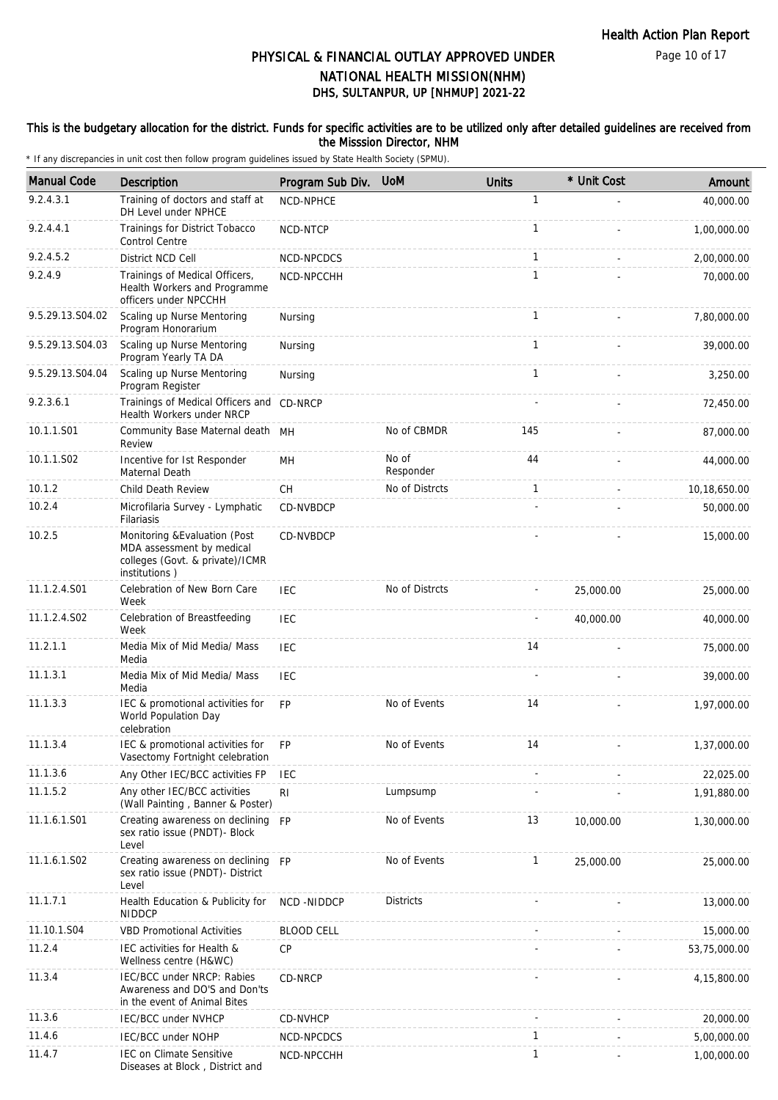Page 10 of 17

## DHS, SULTANPUR, UP [NHMUP] 2021-22 PHYSICAL & FINANCIAL OUTLAY APPROVED UNDER NATIONAL HEALTH MISSION(NHM)

#### This is the budgetary allocation for the district. Funds for specific activities are to be utilized only after detailed guidelines are received from the Misssion Director, NHM

| <b>Manual Code</b> | Description                                                                                                    | Program Sub Div.  | <b>UoM</b>         | <b>Units</b> | * Unit Cost | Amount       |
|--------------------|----------------------------------------------------------------------------------------------------------------|-------------------|--------------------|--------------|-------------|--------------|
| 9.2.4.3.1          | Training of doctors and staff at<br>DH Level under NPHCE                                                       | <b>NCD-NPHCE</b>  |                    | 1            |             | 40,000.00    |
| 9.2.4.4.1          | Trainings for District Tobacco<br><b>Control Centre</b>                                                        | NCD-NTCP          |                    | 1            |             | 1,00,000.00  |
| 9.2.4.5.2          | District NCD Cell                                                                                              | NCD-NPCDCS        |                    | $\mathbf{1}$ |             | 2,00,000.00  |
| 9.2.4.9            | Trainings of Medical Officers,<br>Health Workers and Programme<br>officers under NPCCHH                        | NCD-NPCCHH        |                    | 1            |             | 70,000.00    |
| 9.5.29.13.S04.02   | Scaling up Nurse Mentoring<br>Program Honorarium                                                               | Nursing           |                    | $\mathbf{1}$ |             | 7,80,000.00  |
| 9.5.29.13.S04.03   | Scaling up Nurse Mentoring<br>Program Yearly TA DA                                                             | Nursing           |                    | $\mathbf{1}$ |             | 39,000.00    |
| 9.5.29.13.S04.04   | Scaling up Nurse Mentoring<br>Program Register                                                                 | Nursing           |                    | 1            |             | 3,250.00     |
| 9.2.3.6.1          | Trainings of Medical Officers and CD-NRCP<br>Health Workers under NRCP                                         |                   |                    |              |             | 72,450.00    |
| 10.1.1.S01         | Community Base Maternal death MH<br>Review                                                                     |                   | No of CBMDR        | 145          |             | 87,000.00    |
| 10.1.1.S02         | Incentive for Ist Responder<br>Maternal Death                                                                  | MH                | No of<br>Responder | 44           |             | 44,000.00    |
| 10.1.2             | Child Death Review                                                                                             | CН                | No of Distrcts     | $\mathbf{1}$ |             | 10,18,650.00 |
| 10.2.4             | Microfilaria Survey - Lymphatic<br>Filariasis                                                                  | CD-NVBDCP         |                    |              |             | 50,000.00    |
| 10.2.5             | Monitoring & Evaluation (Post<br>MDA assessment by medical<br>colleges (Govt. & private)/ICMR<br>institutions) | CD-NVBDCP         |                    |              |             | 15,000.00    |
| 11.1.2.4.S01       | Celebration of New Born Care<br>Week                                                                           | <b>IEC</b>        | No of Distrcts     |              | 25,000.00   | 25,000.00    |
| 11.1.2.4.S02       | Celebration of Breastfeeding<br>Week                                                                           | <b>IEC</b>        |                    |              | 40,000.00   | 40,000.00    |
| 11.2.1.1           | Media Mix of Mid Media/ Mass<br>Media                                                                          | <b>IEC</b>        |                    | 14           |             | 75,000.00    |
| 11.1.3.1           | Media Mix of Mid Media/ Mass<br>Media                                                                          | <b>IEC</b>        |                    |              |             | 39,000.00    |
| 11.1.3.3           | IEC & promotional activities for<br>World Population Day<br>celebration                                        | <b>FP</b>         | No of Events       | 14           |             | 1,97,000.00  |
| 11.1.3.4           | IEC & promotional activities for<br>Vasectomy Fortnight celebration                                            | FP                | No of Events       | 14           |             | 1,37,000.00  |
| 11.1.3.6           | Any Other IEC/BCC activities FP                                                                                | <b>IEC</b>        |                    |              |             | 22,025.00    |
| 11.1.5.2           | Any other IEC/BCC activities<br>(Wall Painting, Banner & Poster)                                               | R <sub>l</sub>    | Lumpsump           |              |             | 1,91,880.00  |
| 11.1.6.1.S01       | Creating awareness on declining FP<br>sex ratio issue (PNDT)- Block<br>Level                                   |                   | No of Events       | 13           | 10,000.00   | 1,30,000.00  |
| 11.1.6.1.S02       | Creating awareness on declining FP<br>sex ratio issue (PNDT)- District<br>Level                                |                   | No of Events       | $\mathbf{1}$ | 25,000.00   | 25,000.00    |
| 11.1.7.1           | Health Education & Publicity for<br><b>NIDDCP</b>                                                              | NCD -NIDDCP       | <b>Districts</b>   |              |             | 13,000.00    |
| 11.10.1.S04        | <b>VBD Promotional Activities</b>                                                                              | <b>BLOOD CELL</b> |                    |              |             | 15,000.00    |
| 11.2.4             | IEC activities for Health &<br>Wellness centre (H&WC)                                                          | CP                |                    |              |             | 53,75,000.00 |
| 11.3.4             | IEC/BCC under NRCP: Rabies<br>Awareness and DO'S and Don'ts<br>in the event of Animal Bites                    | CD-NRCP           |                    |              |             | 4,15,800.00  |
| 11.3.6             | <b>IEC/BCC under NVHCP</b>                                                                                     | CD-NVHCP          |                    |              |             | 20,000.00    |
| 11.4.6             | IEC/BCC under NOHP                                                                                             | NCD-NPCDCS        |                    | 1            |             | 5,00,000.00  |
| 11.4.7             | IEC on Climate Sensitive<br>Diseases at Block, District and                                                    | NCD-NPCCHH        |                    | 1            |             | 1,00,000.00  |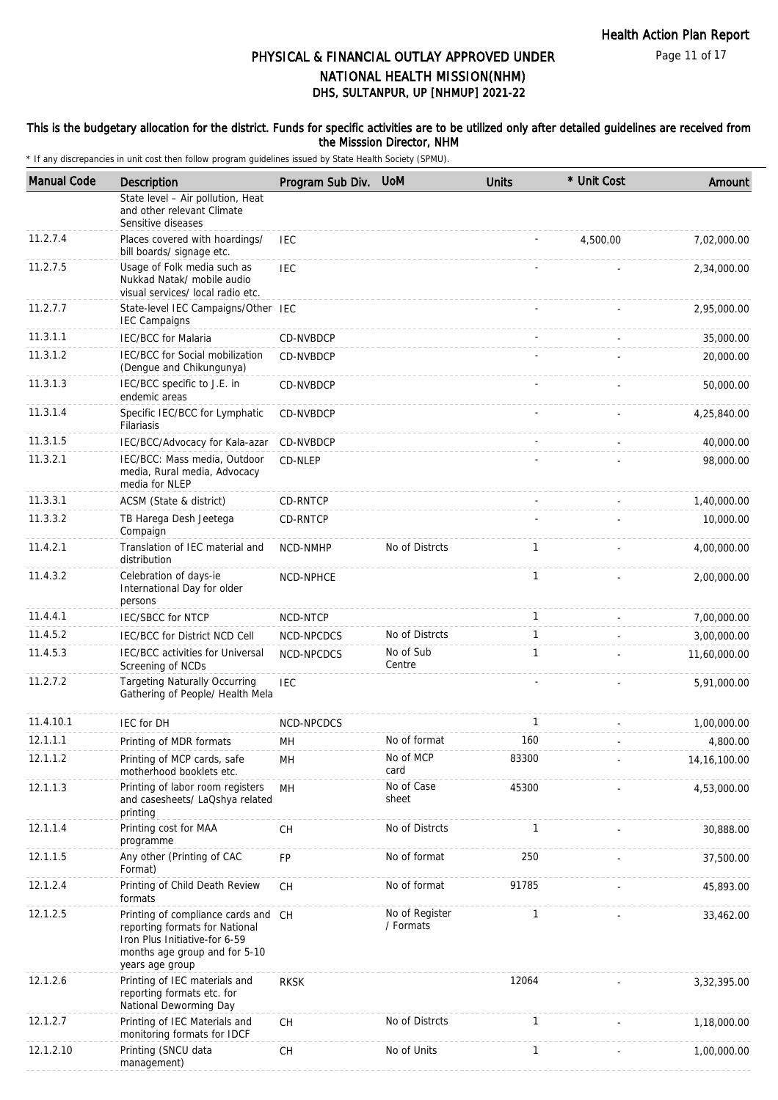#### This is the budgetary allocation for the district. Funds for specific activities are to be utilized only after detailed guidelines are received from the Misssion Director, NHM

| <b>Manual Code</b> | <b>Description</b>                                                                                                                                         | Program Sub Div. | <b>UoM</b>                  | <b>Units</b> | * Unit Cost | Amount         |
|--------------------|------------------------------------------------------------------------------------------------------------------------------------------------------------|------------------|-----------------------------|--------------|-------------|----------------|
|                    | State level - Air pollution, Heat<br>and other relevant Climate<br>Sensitive diseases                                                                      |                  |                             |              |             |                |
| 11.2.7.4           | Places covered with hoardings/<br>bill boards/ signage etc.                                                                                                | <b>IEC</b>       |                             |              | 4,500.00    | 7,02,000.00    |
| 11.2.7.5           | Usage of Folk media such as<br>Nukkad Natak/ mobile audio<br>visual services/ local radio etc.                                                             | <b>IEC</b>       |                             |              |             | 2,34,000.00    |
| 11.2.7.7           | State-level IEC Campaigns/Other IEC<br><b>IEC Campaigns</b>                                                                                                |                  |                             |              |             | 2,95,000.00    |
| 11.3.1.1           | <b>IEC/BCC</b> for Malaria                                                                                                                                 | CD-NVBDCP        |                             |              |             | 35,000.00      |
| 11.3.1.2           | IEC/BCC for Social mobilization<br>(Dengue and Chikungunya)                                                                                                | CD-NVBDCP        |                             |              |             | 20,000.00      |
| 11.3.1.3           | IEC/BCC specific to J.E. in<br>endemic areas                                                                                                               | CD-NVBDCP        |                             |              |             | 50,000.00      |
| 11.3.1.4           | Specific IEC/BCC for Lymphatic<br><b>Filariasis</b>                                                                                                        | CD-NVBDCP        |                             |              |             | 4,25,840.00    |
| 11.3.1.5           | IEC/BCC/Advocacy for Kala-azar                                                                                                                             | CD-NVBDCP        |                             |              |             | 40,000.00      |
| 11.3.2.1           | IEC/BCC: Mass media, Outdoor<br>media, Rural media, Advocacy<br>media for NLEP                                                                             | CD-NLEP          |                             |              |             | 98,000.00      |
| 11.3.3.1           | ACSM (State & district)                                                                                                                                    | CD-RNTCP         |                             |              |             | 1,40,000.00    |
| 11.3.3.2           | TB Harega Desh Jeetega<br>Compaign                                                                                                                         | CD-RNTCP         |                             |              |             | 10,000.00      |
| 11.4.2.1           | Translation of IEC material and<br>distribution                                                                                                            | NCD-NMHP         | No of Distrcts              | $\mathbf{1}$ |             | 4,00,000.00    |
| 11.4.3.2           | Celebration of days-ie<br>International Day for older<br>persons                                                                                           | NCD-NPHCE        |                             | $\mathbf{1}$ |             | 2,00,000.00    |
| 11.4.4.1           | <b>IEC/SBCC for NTCP</b>                                                                                                                                   | NCD-NTCP         |                             | $\mathbf{1}$ |             | 7,00,000.00    |
| 11.4.5.2           | IEC/BCC for District NCD Cell                                                                                                                              | NCD-NPCDCS       | No of Distrcts              | $\mathbf{1}$ |             | 3,00,000.00    |
| 11.4.5.3           | IEC/BCC activities for Universal<br>Screening of NCDs                                                                                                      | NCD-NPCDCS       | No of Sub<br>Centre         | $\mathbf{1}$ |             | 11,60,000.00   |
| 11.2.7.2           | <b>Targeting Naturally Occurring</b><br>Gathering of People/ Health Mela                                                                                   | <b>IEC</b>       |                             |              |             | 5,91,000.00    |
| 11.4.10.1          | <b>IEC for DH</b>                                                                                                                                          | NCD-NPCDCS       |                             | 1            |             | 1,00,000.00    |
| 12.1.1.1           | Printing of MDR formats                                                                                                                                    | MН               | No of format                | 160          |             | 4,800.00       |
| 12.1.1.2           | Printing of MCP cards, safe<br>motherhood booklets etc.                                                                                                    | MH               | No of MCP<br>card           | 83300        |             | 14, 16, 100.00 |
| 12.1.1.3           | Printing of labor room registers<br>and casesheets/ LaQshya related<br>printing                                                                            | MH               | No of Case<br>sheet         | 45300        |             | 4,53,000.00    |
| 12.1.1.4           | Printing cost for MAA<br>programme                                                                                                                         | CH               | No of Distrcts              | $\mathbf{1}$ |             | 30,888.00      |
| 12.1.1.5           | Any other (Printing of CAC<br>Format)                                                                                                                      | <b>FP</b>        | No of format                | 250          |             | 37,500.00      |
| 12.1.2.4           | Printing of Child Death Review<br>formats                                                                                                                  | CH               | No of format                | 91785        |             | 45,893.00      |
| 12.1.2.5           | Printing of compliance cards and CH<br>reporting formats for National<br>Iron Plus Initiative-for 6-59<br>months age group and for 5-10<br>years age group |                  | No of Register<br>/ Formats | 1            |             | 33,462.00      |
| 12.1.2.6           | Printing of IEC materials and<br>reporting formats etc. for<br>National Deworming Day                                                                      | <b>RKSK</b>      |                             | 12064        |             | 3,32,395.00    |
| 12.1.2.7           | Printing of IEC Materials and<br>monitoring formats for IDCF                                                                                               | <b>CH</b>        | No of Distrcts              | $\mathbf{1}$ |             | 1,18,000.00    |
| 12.1.2.10          | Printing (SNCU data<br>management)                                                                                                                         | CH               | No of Units                 | $\mathbf{1}$ |             | 1,00,000.00    |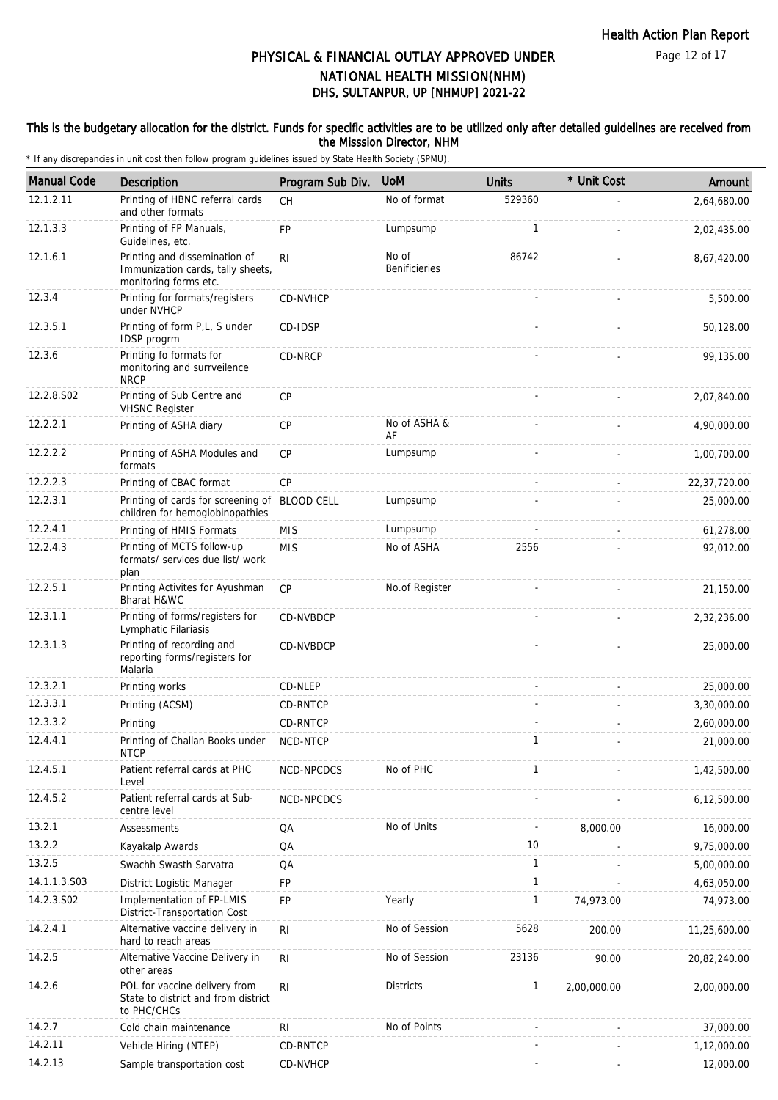#### This is the budgetary allocation for the district. Funds for specific activities are to be utilized only after detailed guidelines are received from the Misssion Director, NHM

| <b>Manual Code</b> | <b>Description</b>                                                                          | Program Sub Div. | <b>UoM</b>                    | <b>Units</b> | * Unit Cost | Amount       |
|--------------------|---------------------------------------------------------------------------------------------|------------------|-------------------------------|--------------|-------------|--------------|
| 12.1.2.11          | Printing of HBNC referral cards<br>and other formats                                        | <b>CH</b>        | No of format                  | 529360       |             | 2,64,680.00  |
| 12.1.3.3           | Printing of FP Manuals,<br>Guidelines, etc.                                                 | FP               | Lumpsump                      | 1            |             | 2,02,435.00  |
| 12.1.6.1           | Printing and dissemination of<br>Immunization cards, tally sheets,<br>monitoring forms etc. | R <sub>1</sub>   | No of<br><b>Benificieries</b> | 86742        |             | 8,67,420.00  |
| 12.3.4             | Printing for formats/registers<br>under NVHCP                                               | CD-NVHCP         |                               |              |             | 5,500.00     |
| 12.3.5.1           | Printing of form P,L, S under<br>IDSP progrm                                                | CD-IDSP          |                               |              |             | 50,128.00    |
| 12.3.6             | Printing fo formats for<br>monitoring and surrveilence<br><b>NRCP</b>                       | CD-NRCP          |                               |              |             | 99,135.00    |
| 12.2.8.S02         | Printing of Sub Centre and<br><b>VHSNC Register</b>                                         | <b>CP</b>        |                               |              |             | 2,07,840.00  |
| 12.2.2.1           | Printing of ASHA diary                                                                      | <b>CP</b>        | No of ASHA &<br>AF            |              |             | 4,90,000.00  |
| 12.2.2.2           | Printing of ASHA Modules and<br>formats                                                     | <b>CP</b>        | Lumpsump                      |              |             | 1,00,700.00  |
| 12.2.2.3           | Printing of CBAC format                                                                     | CP               |                               |              |             | 22,37,720.00 |
| 12.2.3.1           | Printing of cards for screening of BLOOD CELL<br>children for hemoglobinopathies            |                  | Lumpsump                      |              |             | 25,000.00    |
| 12.2.4.1           | Printing of HMIS Formats                                                                    | <b>MIS</b>       | Lumpsump                      |              |             | 61,278.00    |
| 12.2.4.3           | Printing of MCTS follow-up<br>formats/ services due list/ work<br>plan                      | <b>MIS</b>       | No of ASHA                    | 2556         |             | 92,012.00    |
| 12.2.5.1           | Printing Activites for Ayushman<br>Bharat H&WC                                              | <b>CP</b>        | No.of Register                |              |             | 21,150.00    |
| 12.3.1.1           | Printing of forms/registers for<br>Lymphatic Filariasis                                     | CD-NVBDCP        |                               |              |             | 2,32,236.00  |
| 12.3.1.3           | Printing of recording and<br>reporting forms/registers for<br>Malaria                       | CD-NVBDCP        |                               |              |             | 25,000.00    |
| 12.3.2.1           | Printing works                                                                              | CD-NLEP          |                               |              |             | 25,000.00    |
| 12.3.3.1           | Printing (ACSM)                                                                             | CD-RNTCP         |                               |              |             | 3,30,000.00  |
| 12.3.3.2           | Printing                                                                                    | CD-RNTCP         |                               |              |             | 2,60,000.00  |
| 12.4.4.1           | Printing of Challan Books under<br><b>NTCP</b>                                              | NCD-NTCP         |                               | $\mathbf{1}$ |             | 21,000.00    |
| 12.4.5.1           | Patient referral cards at PHC<br>Level                                                      | NCD-NPCDCS       | No of PHC                     | 1            |             | 1,42,500.00  |
| 12.4.5.2           | Patient referral cards at Sub-<br>centre level                                              | NCD-NPCDCS       |                               |              |             | 6,12,500.00  |
| 13.2.1             | Assessments                                                                                 | QA               | No of Units                   |              | 8,000.00    | 16,000.00    |
| 13.2.2             | Kayakalp Awards                                                                             | QA               |                               | 10           |             | 9,75,000.00  |
| 13.2.5             | Swachh Swasth Sarvatra                                                                      | QA               |                               | $\mathbf{1}$ |             | 5,00,000.00  |
| 14.1.1.3.S03       | District Logistic Manager                                                                   | FP               |                               | $\mathbf{1}$ |             | 4,63,050.00  |
| 14.2.3.S02         | Implementation of FP-LMIS<br>District-Transportation Cost                                   | FP               | Yearly                        | $\mathbf{1}$ | 74,973.00   | 74,973.00    |
| 14.2.4.1           | Alternative vaccine delivery in<br>hard to reach areas                                      | R <sub>l</sub>   | No of Session                 | 5628         | 200.00      | 11,25,600.00 |
| 14.2.5             | Alternative Vaccine Delivery in<br>other areas                                              | R <sub>1</sub>   | No of Session                 | 23136        | 90.00       | 20,82,240.00 |
| 14.2.6             | POL for vaccine delivery from<br>State to district and from district<br>to PHC/CHCs         | R <sub>1</sub>   | <b>Districts</b>              | $\mathbf{1}$ | 2,00,000.00 | 2,00,000.00  |
| 14.2.7             | Cold chain maintenance                                                                      | RI               | No of Points                  |              |             | 37,000.00    |
| 14.2.11            | Vehicle Hiring (NTEP)                                                                       | CD-RNTCP         |                               |              |             | 1,12,000.00  |
| 14.2.13            | Sample transportation cost                                                                  | CD-NVHCP         |                               |              |             | 12,000.00    |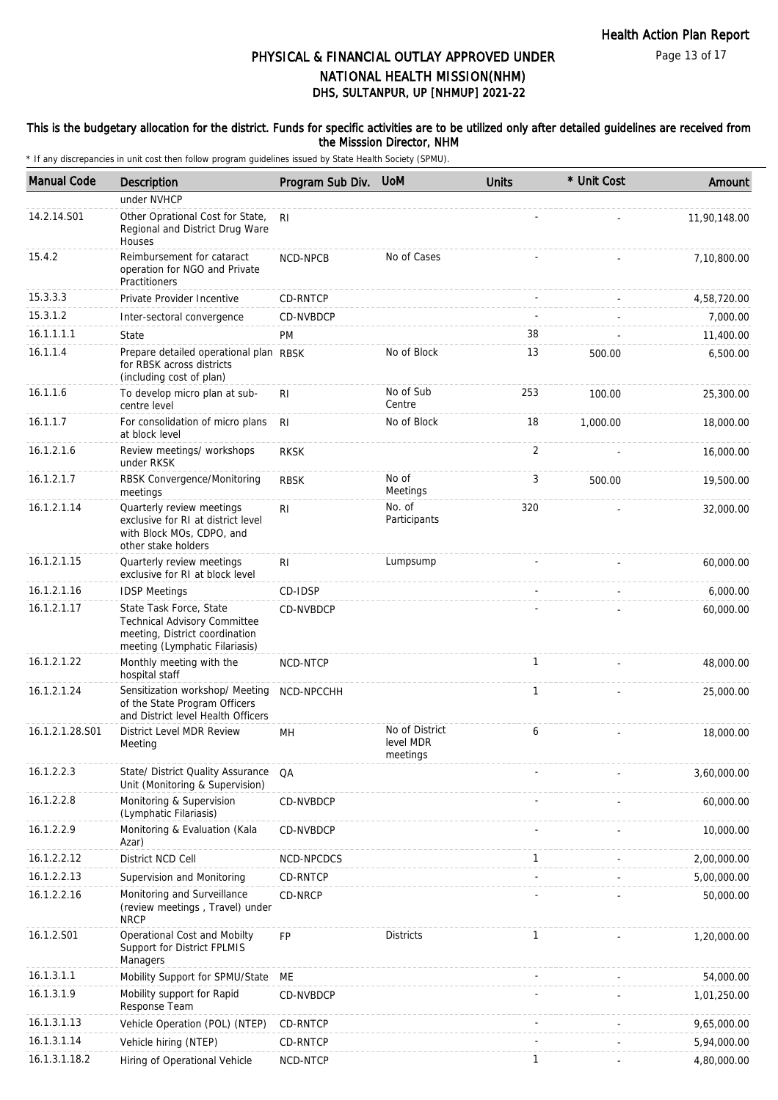Page 13 of 17

## DHS, SULTANPUR, UP [NHMUP] 2021-22 PHYSICAL & FINANCIAL OUTLAY APPROVED UNDER NATIONAL HEALTH MISSION(NHM)

#### This is the budgetary allocation for the district. Funds for specific activities are to be utilized only after detailed guidelines are received from the Misssion Director, NHM

| <b>Manual Code</b> | Description                                                                                                                        | Program Sub Div. | <b>UoM</b>                              | <b>Units</b> | * Unit Cost | Amount       |
|--------------------|------------------------------------------------------------------------------------------------------------------------------------|------------------|-----------------------------------------|--------------|-------------|--------------|
|                    | under NVHCP                                                                                                                        |                  |                                         |              |             |              |
| 14.2.14.S01        | Other Oprational Cost for State,<br>Regional and District Drug Ware<br>Houses                                                      | R <sub>l</sub>   |                                         |              |             | 11,90,148.00 |
| 15.4.2             | Reimbursement for cataract<br>operation for NGO and Private<br>Practitioners                                                       | NCD-NPCB         | No of Cases                             |              |             | 7,10,800.00  |
| 15.3.3.3           | Private Provider Incentive                                                                                                         | CD-RNTCP         |                                         |              |             | 4,58,720.00  |
| 15.3.1.2           | Inter-sectoral convergence                                                                                                         | CD-NVBDCP        |                                         |              |             | 7,000.00     |
| 16.1.1.1.1         | State                                                                                                                              | PM               |                                         | 38           |             | 11,400.00    |
| 16.1.1.4           | Prepare detailed operational plan RBSK<br>for RBSK across districts<br>(including cost of plan)                                    |                  | No of Block                             | 13           | 500.00      | 6,500.00     |
| 16.1.1.6           | To develop micro plan at sub-<br>centre level                                                                                      | R <sub>l</sub>   | No of Sub<br>Centre                     | 253          | 100.00      | 25,300.00    |
| 16.1.1.7           | For consolidation of micro plans<br>at block level                                                                                 | RI.              | No of Block                             | 18           | 1,000.00    | 18,000.00    |
| 16.1.2.1.6         | Review meetings/ workshops<br>under RKSK                                                                                           | <b>RKSK</b>      |                                         | 2            |             | 16,000.00    |
| 16.1.2.1.7         | RBSK Convergence/Monitoring<br>meetings                                                                                            | <b>RBSK</b>      | No of<br>Meetings                       | 3            | 500.00      | 19,500.00    |
| 16.1.2.1.14        | Quarterly review meetings<br>exclusive for RI at district level<br>with Block MOs, CDPO, and<br>other stake holders                | R <sub>l</sub>   | No. of<br>Participants                  | 320          |             | 32,000.00    |
| 16.1.2.1.15        | Quarterly review meetings<br>exclusive for RI at block level                                                                       | R <sub>l</sub>   | Lumpsump                                |              |             | 60,000.00    |
| 16.1.2.1.16        | <b>IDSP Meetings</b>                                                                                                               | CD-IDSP          |                                         |              |             | 6,000.00     |
| 16.1.2.1.17        | State Task Force, State<br><b>Technical Advisory Committee</b><br>meeting, District coordination<br>meeting (Lymphatic Filariasis) | CD-NVBDCP        |                                         |              |             | 60,000.00    |
| 16.1.2.1.22        | Monthly meeting with the<br>hospital staff                                                                                         | NCD-NTCP         |                                         | $\mathbf{1}$ |             | 48,000.00    |
| 16.1.2.1.24        | Sensitization workshop/ Meeting<br>of the State Program Officers<br>and District level Health Officers                             | NCD-NPCCHH       |                                         | $\mathbf{1}$ |             | 25,000.00    |
| 16.1.2.1.28.S01    | District Level MDR Review<br>Meeting                                                                                               | MН               | No of District<br>level MDR<br>meetings | 6            |             | 18,000.00    |
| 16.1.2.2.3         | State/ District Quality Assurance<br>Unit (Monitoring & Supervision)                                                               | QA               |                                         |              |             | 3,60,000.00  |
| 16.1.2.2.8         | Monitoring & Supervision<br>(Lymphatic Filariasis)                                                                                 | CD-NVBDCP        |                                         |              |             | 60,000.00    |
| 16.1.2.2.9         | Monitoring & Evaluation (Kala<br>Azar)                                                                                             | CD-NVBDCP        |                                         |              |             | 10,000.00    |
| 16.1.2.2.12        | District NCD Cell                                                                                                                  | NCD-NPCDCS       |                                         | $\mathbf{1}$ |             | 2,00,000.00  |
| 16.1.2.2.13        | Supervision and Monitoring                                                                                                         | CD-RNTCP         |                                         |              |             | 5,00,000.00  |
| 16.1.2.2.16        | Monitoring and Surveillance<br>(review meetings, Travel) under<br><b>NRCP</b>                                                      | CD-NRCP          |                                         |              |             | 50,000.00    |
| 16.1.2.S01         | Operational Cost and Mobilty<br>Support for District FPLMIS<br>Managers                                                            | <b>FP</b>        | <b>Districts</b>                        | 1            |             | 1,20,000.00  |
| 16.1.3.1.1         | Mobility Support for SPMU/State                                                                                                    | ME               |                                         |              |             | 54,000.00    |
| 16.1.3.1.9         | Mobility support for Rapid<br>Response Team                                                                                        | CD-NVBDCP        |                                         |              |             | 1,01,250.00  |
| 16.1.3.1.13        | Vehicle Operation (POL) (NTEP)                                                                                                     | CD-RNTCP         |                                         |              |             | 9,65,000.00  |
| 16.1.3.1.14        | Vehicle hiring (NTEP)                                                                                                              | CD-RNTCP         |                                         |              |             | 5,94,000.00  |
| 16.1.3.1.18.2      | Hiring of Operational Vehicle                                                                                                      | NCD-NTCP         |                                         | 1            |             | 4,80,000.00  |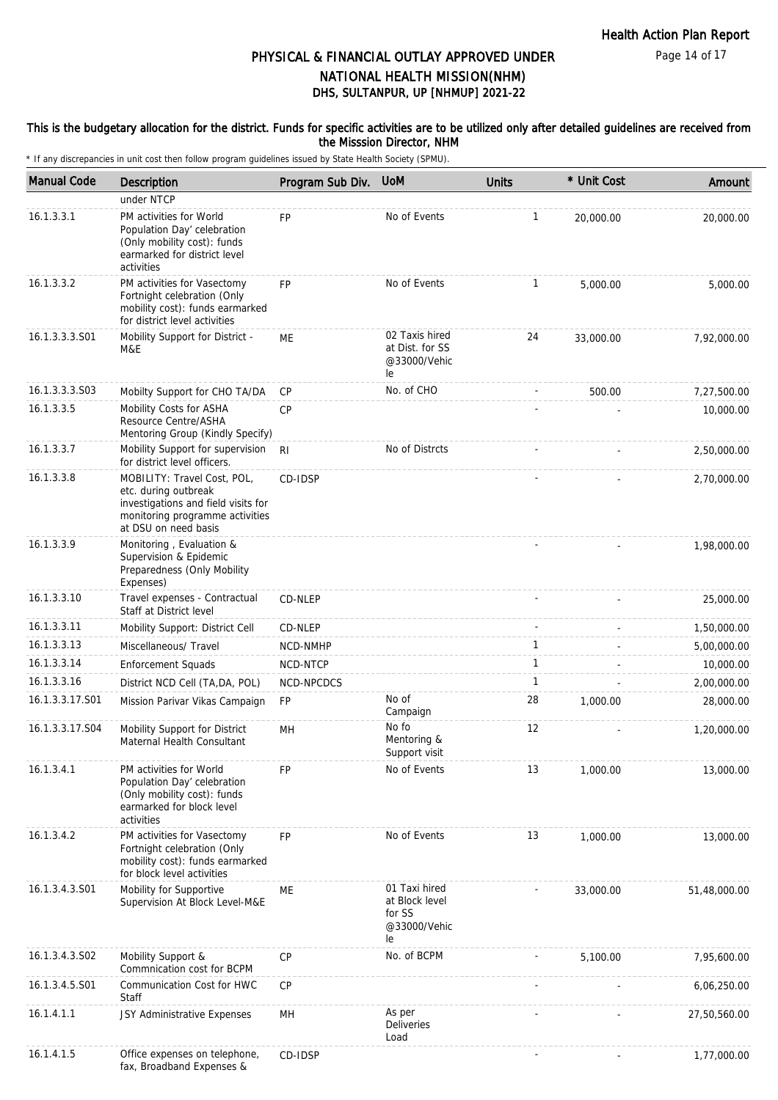Page 14 of 17

## DHS, SULTANPUR, UP [NHMUP] 2021-22 PHYSICAL & FINANCIAL OUTLAY APPROVED UNDER NATIONAL HEALTH MISSION(NHM)

#### This is the budgetary allocation for the district. Funds for specific activities are to be utilized only after detailed guidelines are received from the Misssion Director, NHM

| <b>Manual Code</b> | Description                                                                                                                                           | Program Sub Div. | <b>UoM</b>                                                      | <b>Units</b> | * Unit Cost | Amount       |
|--------------------|-------------------------------------------------------------------------------------------------------------------------------------------------------|------------------|-----------------------------------------------------------------|--------------|-------------|--------------|
|                    | under NTCP                                                                                                                                            |                  |                                                                 |              |             |              |
| 16.1.3.3.1         | PM activities for World<br>Population Day' celebration<br>(Only mobility cost): funds<br>earmarked for district level<br>activities                   | <b>FP</b>        | No of Events                                                    | $\mathbf{1}$ | 20,000.00   | 20,000.00    |
| 16.1.3.3.2         | PM activities for Vasectomy<br>Fortnight celebration (Only<br>mobility cost): funds earmarked<br>for district level activities                        | <b>FP</b>        | No of Events                                                    | 1            | 5,000.00    | 5,000.00     |
| 16.1.3.3.3.S01     | Mobility Support for District -<br>M&E                                                                                                                | МE               | 02 Taxis hired<br>at Dist. for SS<br>@33000/Vehic<br>le         | 24           | 33,000.00   | 7,92,000.00  |
| 16.1.3.3.3.S03     | Mobilty Support for CHO TA/DA                                                                                                                         | <b>CP</b>        | No. of CHO                                                      |              | 500.00      | 7,27,500.00  |
| 16.1.3.3.5         | Mobility Costs for ASHA<br>Resource Centre/ASHA<br>Mentoring Group (Kindly Specify)                                                                   | <b>CP</b>        |                                                                 |              |             | 10,000.00    |
| 16.1.3.3.7         | Mobility Support for supervision<br>for district level officers.                                                                                      | R <sub>l</sub>   | No of Distrcts                                                  |              |             | 2,50,000.00  |
| 16.1.3.3.8         | MOBILITY: Travel Cost, POL,<br>etc. during outbreak<br>investigations and field visits for<br>monitoring programme activities<br>at DSU on need basis | CD-IDSP          |                                                                 |              |             | 2,70,000.00  |
| 16.1.3.3.9         | Monitoring, Evaluation &<br>Supervision & Epidemic<br>Preparedness (Only Mobility<br>Expenses)                                                        |                  |                                                                 |              |             | 1,98,000.00  |
| 16.1.3.3.10        | Travel expenses - Contractual<br>Staff at District level                                                                                              | CD-NLEP          |                                                                 |              |             | 25,000.00    |
| 16.1.3.3.11        | Mobility Support: District Cell                                                                                                                       | CD-NLEP          |                                                                 |              |             | 1,50,000.00  |
| 16.1.3.3.13        | Miscellaneous/ Travel                                                                                                                                 | NCD-NMHP         |                                                                 | $\mathbf{1}$ |             | 5,00,000.00  |
| 16.1.3.3.14        | <b>Enforcement Squads</b>                                                                                                                             | NCD-NTCP         |                                                                 | $\mathbf{1}$ |             | 10,000.00    |
| 16.1.3.3.16        | District NCD Cell (TA, DA, POL)                                                                                                                       | NCD-NPCDCS       |                                                                 | 1            |             | 2,00,000.00  |
| 16.1.3.3.17.S01    | Mission Parivar Vikas Campaign                                                                                                                        | FP               | No of<br>Campaign                                               | 28           | 1,000.00    | 28,000.00    |
| 16.1.3.3.17.S04    | Mobility Support for District<br>Maternal Health Consultant                                                                                           | MН               | No fo<br>Mentoring &<br>Support visit                           | 12           |             | 1,20,000.00  |
| 16.1.3.4.1         | PM activities for World<br>Population Day' celebration<br>(Only mobility cost): funds<br>earmarked for block level<br>activities                      | <b>FP</b>        | No of Events                                                    | 13           | 1,000.00    | 13,000.00    |
| 16.1.3.4.2         | PM activities for Vasectomy<br>Fortnight celebration (Only<br>mobility cost): funds earmarked<br>for block level activities                           | <b>FP</b>        | No of Events                                                    | 13           | 1,000.00    | 13,000.00    |
| 16.1.3.4.3.S01     | Mobility for Supportive<br>Supervision At Block Level-M&E                                                                                             | ME               | 01 Taxi hired<br>at Block level<br>for SS<br>@33000/Vehic<br>le |              | 33,000.00   | 51,48,000.00 |
| 16.1.3.4.3.S02     | Mobility Support &<br>Commnication cost for BCPM                                                                                                      | <b>CP</b>        | No. of BCPM                                                     |              | 5,100.00    | 7,95,600.00  |
| 16.1.3.4.5.S01     | Communication Cost for HWC<br>Staff                                                                                                                   | <b>CP</b>        |                                                                 |              |             | 6,06,250.00  |
| 16.1.4.1.1         | JSY Administrative Expenses                                                                                                                           | MH               | As per<br><b>Deliveries</b><br>Load                             |              |             | 27,50,560.00 |
| 16.1.4.1.5         | Office expenses on telephone,<br>fax, Broadband Expenses &                                                                                            | CD-IDSP          |                                                                 |              |             | 1,77,000.00  |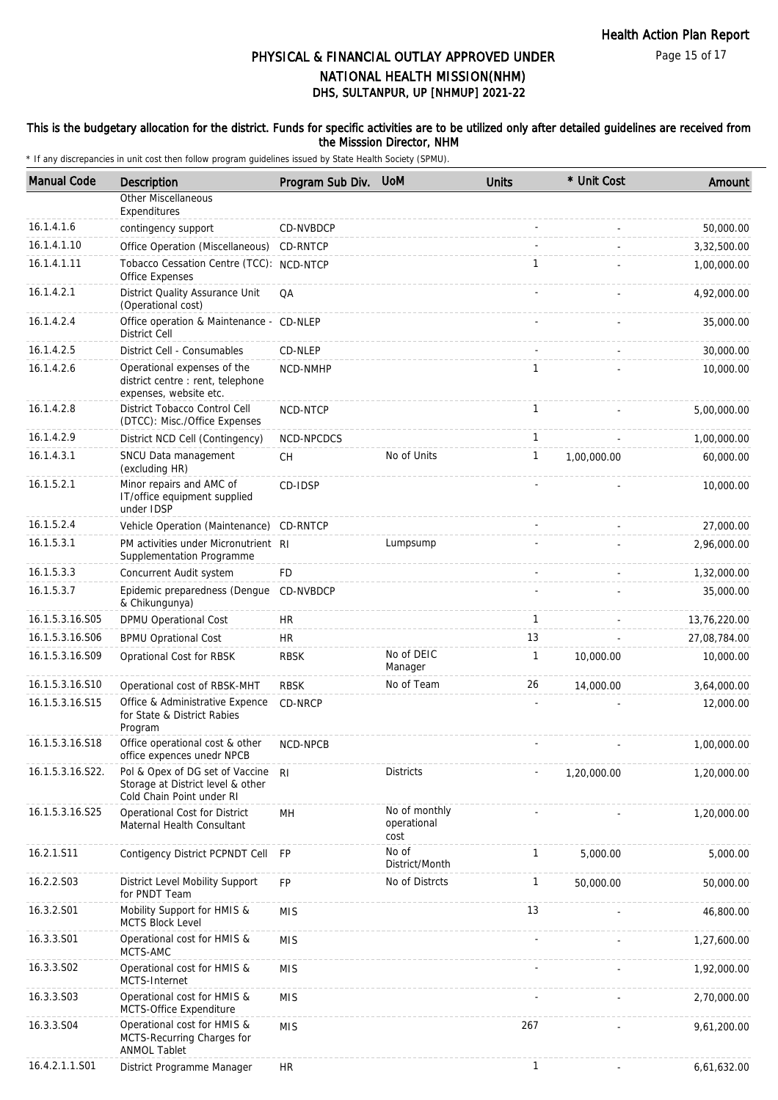#### This is the budgetary allocation for the district. Funds for specific activities are to be utilized only after detailed guidelines are received from the Misssion Director, NHM

| <b>Manual Code</b> | Description                                                                                       | Program Sub Div. | <b>UoM</b>                           | <b>Units</b> | * Unit Cost | Amount       |
|--------------------|---------------------------------------------------------------------------------------------------|------------------|--------------------------------------|--------------|-------------|--------------|
|                    | <b>Other Miscellaneous</b>                                                                        |                  |                                      |              |             |              |
|                    | Expenditures                                                                                      |                  |                                      |              |             |              |
| 16.1.4.1.6         | contingency support                                                                               | CD-NVBDCP        |                                      |              |             | 50,000.00    |
| 16.1.4.1.10        | Office Operation (Miscellaneous)                                                                  | CD-RNTCP         |                                      |              |             | 3,32,500.00  |
| 16.1.4.1.11        | Tobacco Cessation Centre (TCC): NCD-NTCP<br>Office Expenses                                       |                  |                                      | $\mathbf{1}$ |             | 1,00,000.00  |
| 16.1.4.2.1         | District Quality Assurance Unit<br>(Operational cost)                                             | QA               |                                      |              |             | 4,92,000.00  |
| 16.1.4.2.4         | Office operation & Maintenance - CD-NLEP<br><b>District Cell</b>                                  |                  |                                      |              |             | 35,000.00    |
| 16.1.4.2.5         | District Cell - Consumables                                                                       | CD-NLEP          |                                      |              |             | 30,000.00    |
| 16.1.4.2.6         | Operational expenses of the<br>district centre : rent, telephone<br>expenses, website etc.        | NCD-NMHP         |                                      | 1            |             | 10,000.00    |
| 16.1.4.2.8         | District Tobacco Control Cell<br>(DTCC): Misc./Office Expenses                                    | NCD-NTCP         |                                      | $\mathbf{1}$ |             | 5,00,000.00  |
| 16.1.4.2.9         | District NCD Cell (Contingency)                                                                   | NCD-NPCDCS       |                                      | 1            |             | 1,00,000.00  |
| 16.1.4.3.1         | SNCU Data management<br>(excluding HR)                                                            | <b>CH</b>        | No of Units                          | $\mathbf{1}$ | 1,00,000.00 | 60,000.00    |
| 16.1.5.2.1         | Minor repairs and AMC of<br>IT/office equipment supplied<br>under IDSP                            | CD-IDSP          |                                      |              |             | 10,000.00    |
| 16.1.5.2.4         | Vehicle Operation (Maintenance)                                                                   | CD-RNTCP         |                                      |              |             | 27,000.00    |
| 16.1.5.3.1         | PM activities under Micronutrient RI<br>Supplementation Programme                                 |                  | Lumpsump                             |              |             | 2,96,000.00  |
| 16.1.5.3.3         | Concurrent Audit system                                                                           | <b>FD</b>        |                                      |              |             | 1,32,000.00  |
| 16.1.5.3.7         | Epidemic preparedness (Dengue<br>& Chikungunya)                                                   | CD-NVBDCP        |                                      |              |             | 35,000.00    |
| 16.1.5.3.16.S05    | DPMU Operational Cost                                                                             | <b>HR</b>        |                                      | $\mathbf{1}$ |             | 13,76,220.00 |
| 16.1.5.3.16.S06    | <b>BPMU Oprational Cost</b>                                                                       | <b>HR</b>        |                                      | 13           |             | 27,08,784.00 |
| 16.1.5.3.16.S09    | Oprational Cost for RBSK                                                                          | <b>RBSK</b>      | No of DEIC<br>Manager                | $\mathbf{1}$ | 10,000.00   | 10,000.00    |
| 16.1.5.3.16.S10    | Operational cost of RBSK-MHT                                                                      | <b>RBSK</b>      | No of Team                           | 26           | 14,000.00   | 3,64,000.00  |
| 16.1.5.3.16.S15    | Office & Administrative Expence<br>for State & District Rabies<br>Program                         | CD-NRCP          |                                      |              |             | 12,000.00    |
| 16.1.5.3.16.S18    | Office operational cost & other<br>office expences unedr NPCB                                     | NCD-NPCB         |                                      |              |             | 1,00,000.00  |
| 16.1.5.3.16.S22.   | Pol & Opex of DG set of Vaccine<br>Storage at District level & other<br>Cold Chain Point under RI | R <sub>l</sub>   | <b>Districts</b>                     |              | 1,20,000.00 | 1,20,000.00  |
| 16.1.5.3.16.S25    | Operational Cost for District<br>Maternal Health Consultant                                       | MH               | No of monthly<br>operational<br>cost |              |             | 1,20,000.00  |
| 16.2.1.S11         | Contigency District PCPNDT Cell                                                                   | FP               | No of<br>District/Month              | $\mathbf{1}$ | 5,000.00    | 5,000.00     |
| 16.2.2.S03         | District Level Mobility Support<br>for PNDT Team                                                  | FP               | No of Distrcts                       | $\mathbf{1}$ | 50,000.00   | 50,000.00    |
| 16.3.2.S01         | Mobility Support for HMIS &<br><b>MCTS Block Level</b>                                            | <b>MIS</b>       |                                      | 13           |             | 46,800.00    |
| 16.3.3.S01         | Operational cost for HMIS &<br>MCTS-AMC                                                           | <b>MIS</b>       |                                      |              |             | 1,27,600.00  |
| 16.3.3.S02         | Operational cost for HMIS &<br>MCTS-Internet                                                      | <b>MIS</b>       |                                      |              |             | 1,92,000.00  |
| 16.3.3.S03         | Operational cost for HMIS &<br>MCTS-Office Expenditure                                            | <b>MIS</b>       |                                      |              |             | 2,70,000.00  |
| 16.3.3.S04         | Operational cost for HMIS &<br>MCTS-Recurring Charges for<br><b>ANMOL Tablet</b>                  | <b>MIS</b>       |                                      | 267          |             | 9,61,200.00  |
| 16.4.2.1.1.S01     | District Programme Manager                                                                        | <b>HR</b>        |                                      | $\mathbf{1}$ |             | 6,61,632.00  |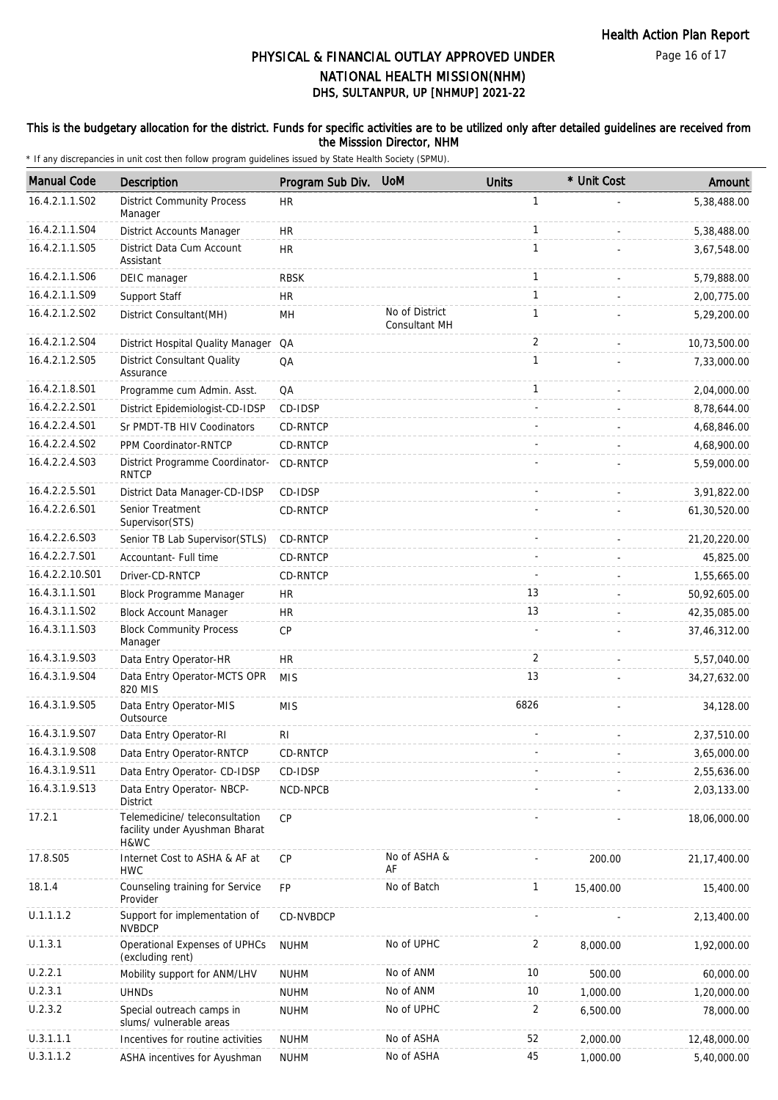Page 16 of 17

## DHS, SULTANPUR, UP [NHMUP] 2021-22 PHYSICAL & FINANCIAL OUTLAY APPROVED UNDER NATIONAL HEALTH MISSION(NHM)

#### This is the budgetary allocation for the district. Funds for specific activities are to be utilized only after detailed guidelines are received from the Misssion Director, NHM

| <b>Manual Code</b> | Description                                                              | Program Sub Div. | <b>UoM</b>                             | <b>Units</b>   | * Unit Cost              | Amount         |
|--------------------|--------------------------------------------------------------------------|------------------|----------------------------------------|----------------|--------------------------|----------------|
| 16.4.2.1.1.S02     | <b>District Community Process</b><br>Manager                             | <b>HR</b>        |                                        | $\mathbf{1}$   |                          | 5,38,488.00    |
| 16.4.2.1.1.S04     | District Accounts Manager                                                | <b>HR</b>        |                                        | $\mathbf{1}$   |                          | 5,38,488.00    |
| 16.4.2.1.1.S05     | District Data Cum Account<br>Assistant                                   | <b>HR</b>        |                                        | $\mathbf{1}$   |                          | 3,67,548.00    |
| 16.4.2.1.1.S06     | DEIC manager                                                             | <b>RBSK</b>      |                                        | $\mathbf{1}$   |                          | 5,79,888.00    |
| 16.4.2.1.1.S09     | Support Staff                                                            | <b>HR</b>        |                                        | $\mathbf{1}$   |                          | 2,00,775.00    |
| 16.4.2.1.2.S02     | District Consultant(MH)                                                  | MH               | No of District<br><b>Consultant MH</b> | $\mathbf{1}$   |                          | 5,29,200.00    |
| 16.4.2.1.2.S04     | District Hospital Quality Manager QA                                     |                  |                                        | 2              | ÷.                       | 10,73,500.00   |
| 16.4.2.1.2.S05     | <b>District Consultant Quality</b><br>Assurance                          | QA               |                                        | $\mathbf{1}$   |                          | 7,33,000.00    |
| 16.4.2.1.8.S01     | Programme cum Admin. Asst.                                               | QA               |                                        | $\mathbf{1}$   | $\overline{\phantom{a}}$ | 2,04,000.00    |
| 16.4.2.2.2.S01     | District Epidemiologist-CD-IDSP                                          | CD-IDSP          |                                        |                |                          | 8,78,644.00    |
| 16.4.2.2.4.S01     | Sr PMDT-TB HIV Coodinators                                               | <b>CD-RNTCP</b>  |                                        |                |                          | 4,68,846.00    |
| 16.4.2.2.4.S02     | PPM Coordinator-RNTCP                                                    | CD-RNTCP         |                                        |                |                          | 4,68,900.00    |
| 16.4.2.2.4.S03     | District Programme Coordinator-<br><b>RNTCP</b>                          | CD-RNTCP         |                                        |                |                          | 5,59,000.00    |
| 16.4.2.2.5.S01     | District Data Manager-CD-IDSP                                            | CD-IDSP          |                                        |                |                          | 3,91,822.00    |
| 16.4.2.2.6.S01     | Senior Treatment<br>Supervisor(STS)                                      | CD-RNTCP         |                                        |                |                          | 61,30,520.00   |
| 16.4.2.2.6.S03     | Senior TB Lab Supervisor(STLS)                                           | CD-RNTCP         |                                        |                |                          | 21,20,220.00   |
| 16.4.2.2.7.S01     | Accountant- Full time                                                    | CD-RNTCP         |                                        |                |                          | 45,825.00      |
| 16.4.2.2.10.S01    | Driver-CD-RNTCP                                                          | CD-RNTCP         |                                        |                |                          | 1,55,665.00    |
| 16.4.3.1.1.S01     | Block Programme Manager                                                  | <b>HR</b>        |                                        | 13             |                          | 50,92,605.00   |
| 16.4.3.1.1.S02     | <b>Block Account Manager</b>                                             | <b>HR</b>        |                                        | 13             |                          | 42,35,085.00   |
| 16.4.3.1.1.S03     | <b>Block Community Process</b><br>Manager                                | CP               |                                        |                |                          | 37,46,312.00   |
| 16.4.3.1.9.S03     | Data Entry Operator-HR                                                   | <b>HR</b>        |                                        | $\overline{2}$ |                          | 5,57,040.00    |
| 16.4.3.1.9.S04     | Data Entry Operator-MCTS OPR<br>820 MIS                                  | <b>MIS</b>       |                                        | 13             |                          | 34,27,632.00   |
| 16.4.3.1.9.S05     | Data Entry Operator-MIS<br>Outsource                                     | <b>MIS</b>       |                                        | 6826           |                          | 34,128.00      |
| 16.4.3.1.9.S07     | Data Entry Operator-RI                                                   | R <sub>l</sub>   |                                        |                |                          | 2,37,510.00    |
| 16.4.3.1.9.S08     | Data Entry Operator-RNTCP                                                | <b>CD-RNTCP</b>  |                                        |                |                          | 3,65,000.00    |
| 16.4.3.1.9.S11     | Data Entry Operator- CD-IDSP                                             | CD-IDSP          |                                        |                |                          | 2,55,636.00    |
| 16.4.3.1.9.S13     | Data Entry Operator- NBCP-<br>District                                   | NCD-NPCB         |                                        |                |                          | 2,03,133.00    |
| 17.2.1             | Telemedicine/ teleconsultation<br>facility under Ayushman Bharat<br>H&WC | <b>CP</b>        |                                        |                |                          | 18,06,000.00   |
| 17.8.S05           | Internet Cost to ASHA & AF at<br><b>HWC</b>                              | CP               | No of ASHA &<br>AF                     |                | 200.00                   | 21, 17, 400.00 |
| 18.1.4             | Counseling training for Service<br>Provider                              | FP               | No of Batch                            | $\mathbf{1}$   | 15,400.00                | 15,400.00      |
| U.1.1.1.2          | Support for implementation of<br><b>NVBDCP</b>                           | CD-NVBDCP        |                                        |                |                          | 2,13,400.00    |
| U.1.3.1            | Operational Expenses of UPHCs<br>(excluding rent)                        | <b>NUHM</b>      | No of UPHC                             | 2              | 8,000.00                 | 1,92,000.00    |
| U.2.2.1            | Mobility support for ANM/LHV                                             | <b>NUHM</b>      | No of ANM                              | 10             | 500.00                   | 60,000.00      |
| U.2.3.1            | <b>UHNDs</b>                                                             | <b>NUHM</b>      | No of ANM                              | 10             | 1,000.00                 | 1,20,000.00    |
| U.2.3.2            | Special outreach camps in<br>slums/ vulnerable areas                     | <b>NUHM</b>      | No of UPHC                             | 2              | 6,500.00                 | 78,000.00      |
| U.3.1.1.1          | Incentives for routine activities                                        | <b>NUHM</b>      | No of ASHA                             | 52             | 2,000.00                 | 12,48,000.00   |
| U.3.1.1.2          | ASHA incentives for Ayushman                                             | <b>NUHM</b>      | No of ASHA                             | 45             | 1,000.00                 | 5,40,000.00    |